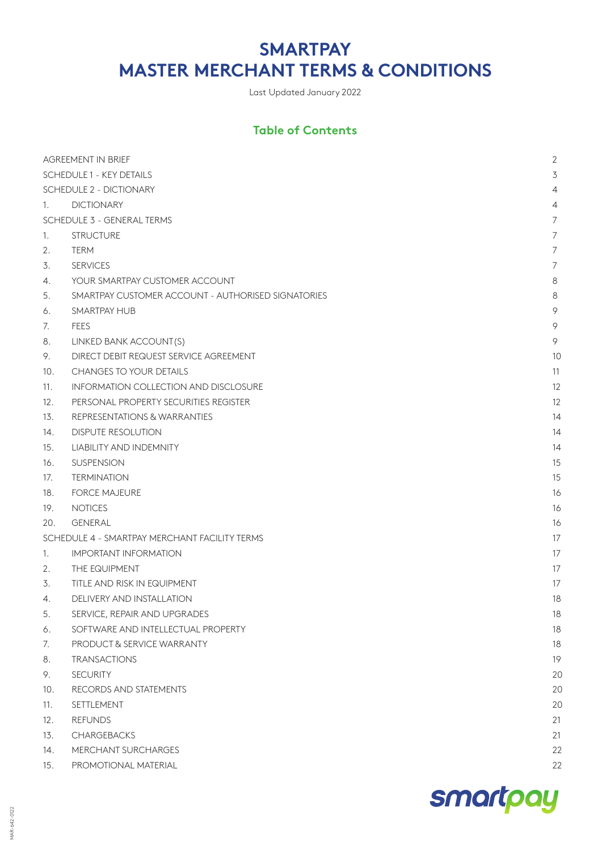# **SMARTPAY MASTER MERCHANT TERMS & CONDITIONS**

Last Updated January 2022

# **Table of Contents**

| 3<br>SCHEDULE 2 - DICTIONARY<br>$\overline{4}$<br>$\overline{4}$<br>1.<br><b>DICTIONARY</b><br>$\overline{7}$<br>SCHEDULE 3 - GENERAL TERMS<br>$\overline{7}$<br><b>STRUCTURE</b><br>$\overline{7}$<br>2.<br><b>TERM</b><br>$\overline{7}$<br>3.<br><b>SERVICES</b><br>$\,8\,$<br>YOUR SMARTPAY CUSTOMER ACCOUNT<br>4.<br>5.<br>SMARTPAY CUSTOMER ACCOUNT - AUTHORISED SIGNATORIES<br>8<br>9<br><b>SMARTPAY HUB</b><br>6.<br>9<br>7.<br><b>FEES</b><br>9<br>8.<br>LINKED BANK ACCOUNT(S)<br>DIRECT DEBIT REQUEST SERVICE AGREEMENT<br>9.<br><b>CHANGES TO YOUR DETAILS</b><br>11<br>10.<br>INFORMATION COLLECTION AND DISCLOSURE<br>11.<br>PERSONAL PROPERTY SECURITIES REGISTER<br>12.<br>REPRESENTATIONS & WARRANTIES<br>13.<br><b>DISPUTE RESOLUTION</b><br>14.<br><b>LIABILITY AND INDEMNITY</b><br>15.<br>SUSPENSION<br>16.<br>17.<br><b>TERMINATION</b><br>18.<br><b>FORCE MAJEURE</b><br><b>NOTICES</b><br>19.<br>20.<br><b>GENERAL</b><br>SCHEDULE 4 - SMARTPAY MERCHANT FACILITY TERMS<br><b>IMPORTANT INFORMATION</b><br>2.<br>THE EQUIPMENT<br>3.<br>TITLE AND RISK IN EQUIPMENT<br>DELIVERY AND INSTALLATION<br>4.<br>5.<br>SERVICE, REPAIR AND UPGRADES<br>SOFTWARE AND INTELLECTUAL PROPERTY<br>6.<br>PRODUCT & SERVICE WARRANTY<br>7.<br>8.<br><b>TRANSACTIONS</b><br>9.<br><b>SECURITY</b><br>RECORDS AND STATEMENTS<br>10.<br>SETTLEMENT<br>11.<br>12.<br><b>REFUNDS</b><br><b>CHARGEBACKS</b><br>13.<br>MERCHANT SURCHARGES<br>14.<br>PROMOTIONAL MATERIAL<br>15. |                                 | <b>AGREEMENT IN BRIEF</b> | $\overline{2}$ |  |  |
|-------------------------------------------------------------------------------------------------------------------------------------------------------------------------------------------------------------------------------------------------------------------------------------------------------------------------------------------------------------------------------------------------------------------------------------------------------------------------------------------------------------------------------------------------------------------------------------------------------------------------------------------------------------------------------------------------------------------------------------------------------------------------------------------------------------------------------------------------------------------------------------------------------------------------------------------------------------------------------------------------------------------------------------------------------------------------------------------------------------------------------------------------------------------------------------------------------------------------------------------------------------------------------------------------------------------------------------------------------------------------------------------------------------------------------------------------------------------------------------|---------------------------------|---------------------------|----------------|--|--|
| 10<br>12<br>12<br>14<br>14<br>14<br>15<br>15<br>16<br>16<br>16<br>17<br>17<br>17<br>17<br>18<br>18<br>18<br>18<br>19<br>2C<br>2C<br>2C<br>21<br>21<br>22<br>22                                                                                                                                                                                                                                                                                                                                                                                                                                                                                                                                                                                                                                                                                                                                                                                                                                                                                                                                                                                                                                                                                                                                                                                                                                                                                                                      | <b>SCHEDULE 1 - KEY DETAILS</b> |                           |                |  |  |
|                                                                                                                                                                                                                                                                                                                                                                                                                                                                                                                                                                                                                                                                                                                                                                                                                                                                                                                                                                                                                                                                                                                                                                                                                                                                                                                                                                                                                                                                                     |                                 |                           |                |  |  |
|                                                                                                                                                                                                                                                                                                                                                                                                                                                                                                                                                                                                                                                                                                                                                                                                                                                                                                                                                                                                                                                                                                                                                                                                                                                                                                                                                                                                                                                                                     |                                 |                           |                |  |  |
|                                                                                                                                                                                                                                                                                                                                                                                                                                                                                                                                                                                                                                                                                                                                                                                                                                                                                                                                                                                                                                                                                                                                                                                                                                                                                                                                                                                                                                                                                     |                                 |                           |                |  |  |
|                                                                                                                                                                                                                                                                                                                                                                                                                                                                                                                                                                                                                                                                                                                                                                                                                                                                                                                                                                                                                                                                                                                                                                                                                                                                                                                                                                                                                                                                                     | 1.                              |                           |                |  |  |
|                                                                                                                                                                                                                                                                                                                                                                                                                                                                                                                                                                                                                                                                                                                                                                                                                                                                                                                                                                                                                                                                                                                                                                                                                                                                                                                                                                                                                                                                                     |                                 |                           |                |  |  |
|                                                                                                                                                                                                                                                                                                                                                                                                                                                                                                                                                                                                                                                                                                                                                                                                                                                                                                                                                                                                                                                                                                                                                                                                                                                                                                                                                                                                                                                                                     |                                 |                           |                |  |  |
|                                                                                                                                                                                                                                                                                                                                                                                                                                                                                                                                                                                                                                                                                                                                                                                                                                                                                                                                                                                                                                                                                                                                                                                                                                                                                                                                                                                                                                                                                     |                                 |                           |                |  |  |
|                                                                                                                                                                                                                                                                                                                                                                                                                                                                                                                                                                                                                                                                                                                                                                                                                                                                                                                                                                                                                                                                                                                                                                                                                                                                                                                                                                                                                                                                                     |                                 |                           |                |  |  |
|                                                                                                                                                                                                                                                                                                                                                                                                                                                                                                                                                                                                                                                                                                                                                                                                                                                                                                                                                                                                                                                                                                                                                                                                                                                                                                                                                                                                                                                                                     |                                 |                           |                |  |  |
|                                                                                                                                                                                                                                                                                                                                                                                                                                                                                                                                                                                                                                                                                                                                                                                                                                                                                                                                                                                                                                                                                                                                                                                                                                                                                                                                                                                                                                                                                     |                                 |                           |                |  |  |
|                                                                                                                                                                                                                                                                                                                                                                                                                                                                                                                                                                                                                                                                                                                                                                                                                                                                                                                                                                                                                                                                                                                                                                                                                                                                                                                                                                                                                                                                                     |                                 |                           |                |  |  |
|                                                                                                                                                                                                                                                                                                                                                                                                                                                                                                                                                                                                                                                                                                                                                                                                                                                                                                                                                                                                                                                                                                                                                                                                                                                                                                                                                                                                                                                                                     |                                 |                           |                |  |  |
|                                                                                                                                                                                                                                                                                                                                                                                                                                                                                                                                                                                                                                                                                                                                                                                                                                                                                                                                                                                                                                                                                                                                                                                                                                                                                                                                                                                                                                                                                     |                                 |                           |                |  |  |
|                                                                                                                                                                                                                                                                                                                                                                                                                                                                                                                                                                                                                                                                                                                                                                                                                                                                                                                                                                                                                                                                                                                                                                                                                                                                                                                                                                                                                                                                                     |                                 |                           |                |  |  |
|                                                                                                                                                                                                                                                                                                                                                                                                                                                                                                                                                                                                                                                                                                                                                                                                                                                                                                                                                                                                                                                                                                                                                                                                                                                                                                                                                                                                                                                                                     |                                 |                           |                |  |  |
|                                                                                                                                                                                                                                                                                                                                                                                                                                                                                                                                                                                                                                                                                                                                                                                                                                                                                                                                                                                                                                                                                                                                                                                                                                                                                                                                                                                                                                                                                     |                                 |                           |                |  |  |
|                                                                                                                                                                                                                                                                                                                                                                                                                                                                                                                                                                                                                                                                                                                                                                                                                                                                                                                                                                                                                                                                                                                                                                                                                                                                                                                                                                                                                                                                                     |                                 |                           |                |  |  |
|                                                                                                                                                                                                                                                                                                                                                                                                                                                                                                                                                                                                                                                                                                                                                                                                                                                                                                                                                                                                                                                                                                                                                                                                                                                                                                                                                                                                                                                                                     |                                 |                           |                |  |  |
|                                                                                                                                                                                                                                                                                                                                                                                                                                                                                                                                                                                                                                                                                                                                                                                                                                                                                                                                                                                                                                                                                                                                                                                                                                                                                                                                                                                                                                                                                     |                                 |                           |                |  |  |
|                                                                                                                                                                                                                                                                                                                                                                                                                                                                                                                                                                                                                                                                                                                                                                                                                                                                                                                                                                                                                                                                                                                                                                                                                                                                                                                                                                                                                                                                                     |                                 |                           |                |  |  |
|                                                                                                                                                                                                                                                                                                                                                                                                                                                                                                                                                                                                                                                                                                                                                                                                                                                                                                                                                                                                                                                                                                                                                                                                                                                                                                                                                                                                                                                                                     |                                 |                           |                |  |  |
|                                                                                                                                                                                                                                                                                                                                                                                                                                                                                                                                                                                                                                                                                                                                                                                                                                                                                                                                                                                                                                                                                                                                                                                                                                                                                                                                                                                                                                                                                     |                                 |                           |                |  |  |
|                                                                                                                                                                                                                                                                                                                                                                                                                                                                                                                                                                                                                                                                                                                                                                                                                                                                                                                                                                                                                                                                                                                                                                                                                                                                                                                                                                                                                                                                                     |                                 |                           |                |  |  |
|                                                                                                                                                                                                                                                                                                                                                                                                                                                                                                                                                                                                                                                                                                                                                                                                                                                                                                                                                                                                                                                                                                                                                                                                                                                                                                                                                                                                                                                                                     |                                 |                           |                |  |  |
|                                                                                                                                                                                                                                                                                                                                                                                                                                                                                                                                                                                                                                                                                                                                                                                                                                                                                                                                                                                                                                                                                                                                                                                                                                                                                                                                                                                                                                                                                     | 1.                              |                           |                |  |  |
|                                                                                                                                                                                                                                                                                                                                                                                                                                                                                                                                                                                                                                                                                                                                                                                                                                                                                                                                                                                                                                                                                                                                                                                                                                                                                                                                                                                                                                                                                     |                                 |                           |                |  |  |
|                                                                                                                                                                                                                                                                                                                                                                                                                                                                                                                                                                                                                                                                                                                                                                                                                                                                                                                                                                                                                                                                                                                                                                                                                                                                                                                                                                                                                                                                                     |                                 |                           |                |  |  |
|                                                                                                                                                                                                                                                                                                                                                                                                                                                                                                                                                                                                                                                                                                                                                                                                                                                                                                                                                                                                                                                                                                                                                                                                                                                                                                                                                                                                                                                                                     |                                 |                           |                |  |  |
|                                                                                                                                                                                                                                                                                                                                                                                                                                                                                                                                                                                                                                                                                                                                                                                                                                                                                                                                                                                                                                                                                                                                                                                                                                                                                                                                                                                                                                                                                     |                                 |                           |                |  |  |
|                                                                                                                                                                                                                                                                                                                                                                                                                                                                                                                                                                                                                                                                                                                                                                                                                                                                                                                                                                                                                                                                                                                                                                                                                                                                                                                                                                                                                                                                                     |                                 |                           |                |  |  |
|                                                                                                                                                                                                                                                                                                                                                                                                                                                                                                                                                                                                                                                                                                                                                                                                                                                                                                                                                                                                                                                                                                                                                                                                                                                                                                                                                                                                                                                                                     |                                 |                           |                |  |  |
|                                                                                                                                                                                                                                                                                                                                                                                                                                                                                                                                                                                                                                                                                                                                                                                                                                                                                                                                                                                                                                                                                                                                                                                                                                                                                                                                                                                                                                                                                     |                                 |                           |                |  |  |
|                                                                                                                                                                                                                                                                                                                                                                                                                                                                                                                                                                                                                                                                                                                                                                                                                                                                                                                                                                                                                                                                                                                                                                                                                                                                                                                                                                                                                                                                                     |                                 |                           |                |  |  |
|                                                                                                                                                                                                                                                                                                                                                                                                                                                                                                                                                                                                                                                                                                                                                                                                                                                                                                                                                                                                                                                                                                                                                                                                                                                                                                                                                                                                                                                                                     |                                 |                           |                |  |  |
|                                                                                                                                                                                                                                                                                                                                                                                                                                                                                                                                                                                                                                                                                                                                                                                                                                                                                                                                                                                                                                                                                                                                                                                                                                                                                                                                                                                                                                                                                     |                                 |                           |                |  |  |
|                                                                                                                                                                                                                                                                                                                                                                                                                                                                                                                                                                                                                                                                                                                                                                                                                                                                                                                                                                                                                                                                                                                                                                                                                                                                                                                                                                                                                                                                                     |                                 |                           |                |  |  |
|                                                                                                                                                                                                                                                                                                                                                                                                                                                                                                                                                                                                                                                                                                                                                                                                                                                                                                                                                                                                                                                                                                                                                                                                                                                                                                                                                                                                                                                                                     |                                 |                           |                |  |  |
|                                                                                                                                                                                                                                                                                                                                                                                                                                                                                                                                                                                                                                                                                                                                                                                                                                                                                                                                                                                                                                                                                                                                                                                                                                                                                                                                                                                                                                                                                     |                                 |                           |                |  |  |
|                                                                                                                                                                                                                                                                                                                                                                                                                                                                                                                                                                                                                                                                                                                                                                                                                                                                                                                                                                                                                                                                                                                                                                                                                                                                                                                                                                                                                                                                                     |                                 |                           |                |  |  |

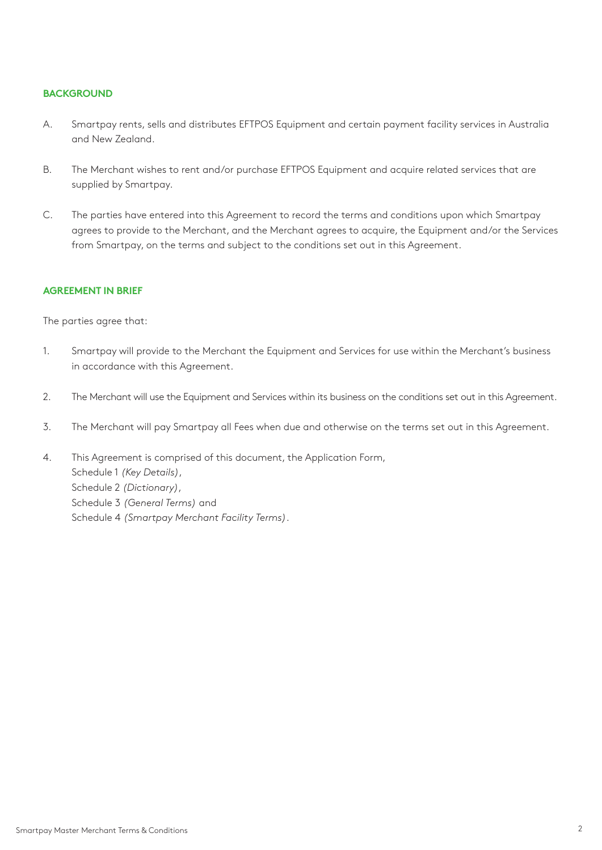# **BACKGROUND**

- A. Smartpay rents, sells and distributes EFTPOS Equipment and certain payment facility services in Australia and New Zealand.
- B. The Merchant wishes to rent and/or purchase EFTPOS Equipment and acquire related services that are supplied by Smartpay.
- C. The parties have entered into this Agreement to record the terms and conditions upon which Smartpay agrees to provide to the Merchant, and the Merchant agrees to acquire, the Equipment and/or the Services from Smartpay, on the terms and subject to the conditions set out in this Agreement.

# **AGREEMENT IN BRIEF**

The parties agree that:

- 1. Smartpay will provide to the Merchant the Equipment and Services for use within the Merchant's business in accordance with this Agreement.
- 2. The Merchant will use the Equipment and Services within its business on the conditions set out in this Agreement.
- 3. The Merchant will pay Smartpay all Fees when due and otherwise on the terms set out in this Agreement.
- 4. This Agreement is comprised of this document, the Application Form, Schedule 1 *(Key Details)*, Schedule 2 *(Dictionary)*, Schedule 3 *(General Terms)* and Schedule 4 *(Smartpay Merchant Facility Terms)*.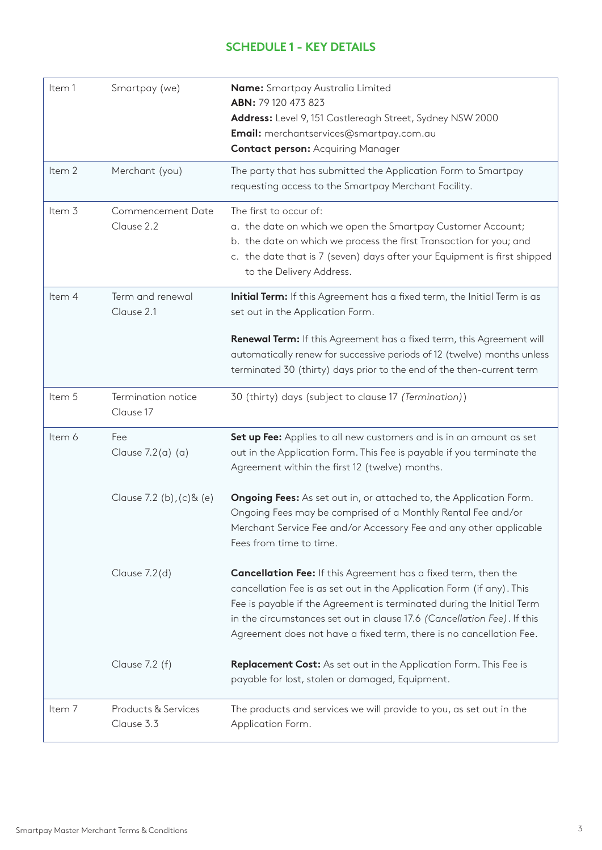# **SCHEDULE 1 - KEY DETAILS**

| Item 1 | Smartpay (we)                     | Name: Smartpay Australia Limited<br>ABN: 79 120 473 823<br>Address: Level 9, 151 Castlereagh Street, Sydney NSW 2000<br>Email: merchantservices@smartpay.com.au<br><b>Contact person: Acquiring Manager</b>                                                                                                                                                               |
|--------|-----------------------------------|---------------------------------------------------------------------------------------------------------------------------------------------------------------------------------------------------------------------------------------------------------------------------------------------------------------------------------------------------------------------------|
| Item 2 | Merchant (you)                    | The party that has submitted the Application Form to Smartpay<br>requesting access to the Smartpay Merchant Facility.                                                                                                                                                                                                                                                     |
| Item 3 | Commencement Date<br>Clause 2.2   | The first to occur of:<br>a. the date on which we open the Smartpay Customer Account;<br>b. the date on which we process the first Transaction for you; and<br>c. the date that is 7 (seven) days after your Equipment is first shipped<br>to the Delivery Address.                                                                                                       |
| Item 4 | Term and renewal<br>Clause 2.1    | Initial Term: If this Agreement has a fixed term, the Initial Term is as<br>set out in the Application Form.                                                                                                                                                                                                                                                              |
|        |                                   | Renewal Term: If this Agreement has a fixed term, this Agreement will<br>automatically renew for successive periods of 12 (twelve) months unless<br>terminated 30 (thirty) days prior to the end of the then-current term                                                                                                                                                 |
| Item 5 | Termination notice<br>Clause 17   | 30 (thirty) days (subject to clause 17 (Termination))                                                                                                                                                                                                                                                                                                                     |
| Item 6 | Fee<br>Clause 7.2(a) (a)          | Set up Fee: Applies to all new customers and is in an amount as set<br>out in the Application Form. This Fee is payable if you terminate the<br>Agreement within the first 12 (twelve) months.                                                                                                                                                                            |
|        | Clause 7.2 (b), (c)& (e)          | <b>Ongoing Fees:</b> As set out in, or attached to, the Application Form.<br>Ongoing Fees may be comprised of a Monthly Rental Fee and/or<br>Merchant Service Fee and/or Accessory Fee and any other applicable<br>Fees from time to time.                                                                                                                                |
|        | Clause 7.2(d)                     | <b>Cancellation Fee:</b> If this Agreement has a fixed term, then the<br>cancellation Fee is as set out in the Application Form (if any). This<br>Fee is payable if the Agreement is terminated during the Initial Term<br>in the circumstances set out in clause 17.6 (Cancellation Fee). If this<br>Agreement does not have a fixed term, there is no cancellation Fee. |
|        | Clause 7.2 (f)                    | <b>Replacement Cost:</b> As set out in the Application Form. This Fee is<br>payable for lost, stolen or damaged, Equipment.                                                                                                                                                                                                                                               |
| Item 7 | Products & Services<br>Clause 3.3 | The products and services we will provide to you, as set out in the<br>Application Form.                                                                                                                                                                                                                                                                                  |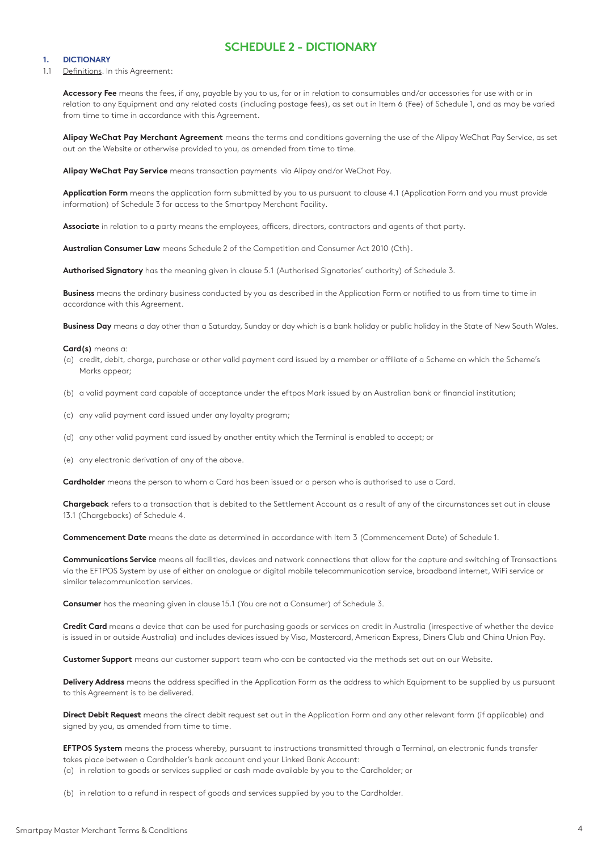# **SCHEDULE 2 - DICTIONARY**

# **1. DICTIONARY**

1.1 Definitions. In this Agreement:

**Accessory Fee** means the fees, if any, payable by you to us, for or in relation to consumables and/or accessories for use with or in relation to any Equipment and any related costs (including postage fees), as set out in Item 6 (Fee) of Schedule 1, and as may be varied from time to time in accordance with this Agreement.

**Alipay WeChat Pay Merchant Agreement** means the terms and conditions governing the use of the Alipay WeChat Pay Service, as set out on the Website or otherwise provided to you, as amended from time to time.

**Alipay WeChat Pay Service** means transaction payments via Alipay and/or WeChat Pay.

**Application Form** means the application form submitted by you to us pursuant to clause 4.1 (Application Form and you must provide information) of Schedule 3 for access to the Smartpay Merchant Facility.

**Associate** in relation to a party means the employees, officers, directors, contractors and agents of that party.

**Australian Consumer Law** means Schedule 2 of the Competition and Consumer Act 2010 (Cth).

**Authorised Signatory** has the meaning given in clause 5.1 (Authorised Signatories' authority) of Schedule 3.

**Business** means the ordinary business conducted by you as described in the Application Form or notified to us from time to time in accordance with this Agreement.

**Business Day** means a day other than a Saturday, Sunday or day which is a bank holiday or public holiday in the State of New South Wales.

#### **Card(s)** means a:

- (a) credit, debit, charge, purchase or other valid payment card issued by a member or affiliate of a Scheme on which the Scheme's Marks appear;
- (b) a valid payment card capable of acceptance under the eftpos Mark issued by an Australian bank or financial institution;
- (c) any valid payment card issued under any loyalty program;
- (d) any other valid payment card issued by another entity which the Terminal is enabled to accept; or
- (e) any electronic derivation of any of the above.

**Cardholder** means the person to whom a Card has been issued or a person who is authorised to use a Card.

**Chargeback** refers to a transaction that is debited to the Settlement Account as a result of any of the circumstances set out in clause 13.1 (Chargebacks) of Schedule 4.

**Commencement Date** means the date as determined in accordance with Item 3 (Commencement Date) of Schedule 1.

**Communications Service** means all facilities, devices and network connections that allow for the capture and switching of Transactions via the EFTPOS System by use of either an analogue or digital mobile telecommunication service, broadband internet, WiFi service or similar telecommunication services.

**Consumer** has the meaning given in clause 15.1 (You are not a Consumer) of Schedule 3.

**Credit Card** means a device that can be used for purchasing goods or services on credit in Australia (irrespective of whether the device is issued in or outside Australia) and includes devices issued by Visa, Mastercard, American Express, Diners Club and China Union Pay.

**Customer Support** means our customer support team who can be contacted via the methods set out on our Website.

**Delivery Address** means the address specified in the Application Form as the address to which Equipment to be supplied by us pursuant to this Agreement is to be delivered.

**Direct Debit Request** means the direct debit request set out in the Application Form and any other relevant form (if applicable) and signed by you, as amended from time to time.

**EFTPOS System** means the process whereby, pursuant to instructions transmitted through a Terminal, an electronic funds transfer takes place between a Cardholder's bank account and your Linked Bank Account:

(a) in relation to goods or services supplied or cash made available by you to the Cardholder; or

(b) in relation to a refund in respect of goods and services supplied by you to the Cardholder.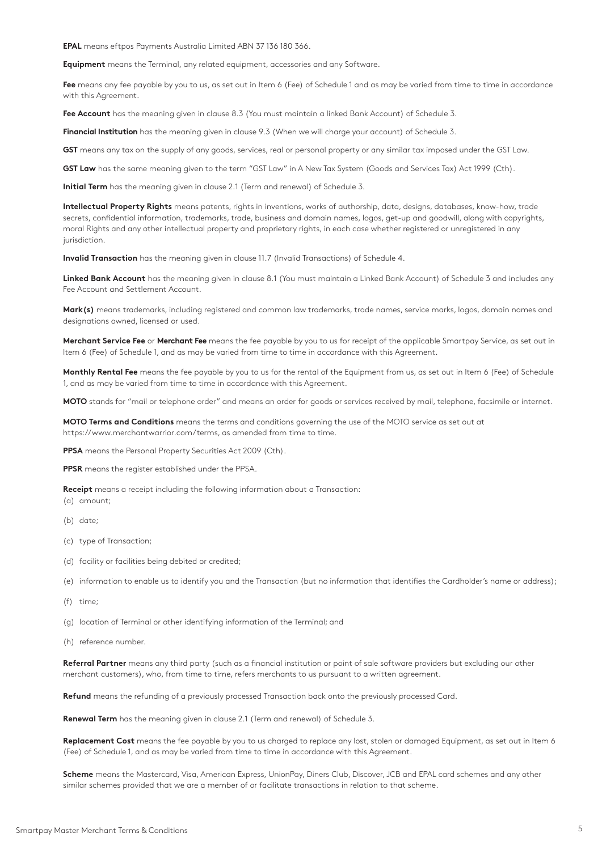**EPAL** means eftpos Payments Australia Limited ABN 37 136 180 366.

**Equipment** means the Terminal, any related equipment, accessories and any Software.

**Fee** means any fee payable by you to us, as set out in Item 6 (Fee) of Schedule 1 and as may be varied from time to time in accordance with this Agreement.

**Fee Account** has the meaning given in clause 8.3 (You must maintain a linked Bank Account) of Schedule 3.

**Financial Institution** has the meaning given in clause 9.3 (When we will charge your account) of Schedule 3.

**GST** means any tax on the supply of any goods, services, real or personal property or any similar tax imposed under the GST Law.

**GST Law** has the same meaning given to the term "GST Law" in A New Tax System (Goods and Services Tax) Act 1999 (Cth).

**Initial Term** has the meaning given in clause 2.1 (Term and renewal) of Schedule 3.

**Intellectual Property Rights** means patents, rights in inventions, works of authorship, data, designs, databases, know-how, trade secrets, confidential information, trademarks, trade, business and domain names, logos, get-up and goodwill, along with copyrights, moral Rights and any other intellectual property and proprietary rights, in each case whether registered or unregistered in any jurisdiction.

**Invalid Transaction** has the meaning given in clause 11.7 (Invalid Transactions) of Schedule 4.

**Linked Bank Account** has the meaning given in clause 8.1 (You must maintain a Linked Bank Account) of Schedule 3 and includes any Fee Account and Settlement Account.

**Mark(s)** means trademarks, including registered and common law trademarks, trade names, service marks, logos, domain names and designations owned, licensed or used.

**Merchant Service Fee** or **Merchant Fee** means the fee payable by you to us for receipt of the applicable Smartpay Service, as set out in Item 6 (Fee) of Schedule 1, and as may be varied from time to time in accordance with this Agreement.

**Monthly Rental Fee** means the fee payable by you to us for the rental of the Equipment from us, as set out in Item 6 (Fee) of Schedule 1, and as may be varied from time to time in accordance with this Agreement.

**MOTO** stands for "mail or telephone order" and means an order for goods or services received by mail, telephone, facsimile or internet.

**MOTO Terms and Conditions** means the terms and conditions governing the use of the MOTO service as set out at https://www.merchantwarrior.com/terms, as amended from time to time.

**PPSA** means the Personal Property Securities Act 2009 (Cth).

**PPSR** means the register established under the PPSA.

**Receipt** means a receipt including the following information about a Transaction:

- (a) amount;
- (b) date;
- (c) type of Transaction;
- (d) facility or facilities being debited or credited;
- (e) information to enable us to identify you and the Transaction (but no information that identifies the Cardholder's name or address);
- (f) time;
- (g) location of Terminal or other identifying information of the Terminal; and
- (h) reference number.

**Referral Partner** means any third party (such as a financial institution or point of sale software providers but excluding our other merchant customers), who, from time to time, refers merchants to us pursuant to a written agreement.

**Refund** means the refunding of a previously processed Transaction back onto the previously processed Card.

**Renewal Term** has the meaning given in clause 2.1 (Term and renewal) of Schedule 3.

**Replacement Cost** means the fee payable by you to us charged to replace any lost, stolen or damaged Equipment, as set out in Item 6 (Fee) of Schedule 1, and as may be varied from time to time in accordance with this Agreement.

**Scheme** means the Mastercard, Visa, American Express, UnionPay, Diners Club, Discover, JCB and EPAL card schemes and any other similar schemes provided that we are a member of or facilitate transactions in relation to that scheme.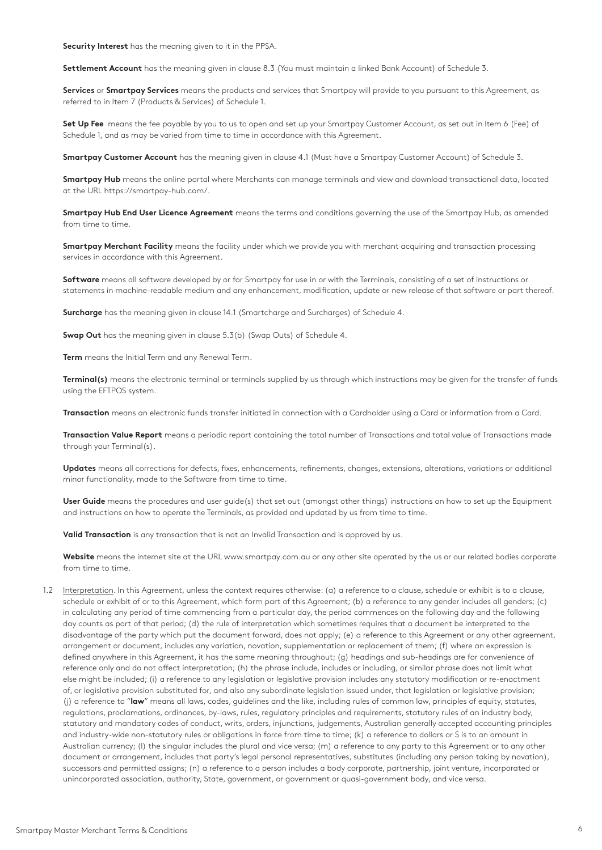**Security Interest** has the meaning given to it in the PPSA.

**Settlement Account** has the meaning given in clause 8.3 (You must maintain a linked Bank Account) of Schedule 3.

**Services** or **Smartpay Services** means the products and services that Smartpay will provide to you pursuant to this Agreement, as referred to in Item 7 (Products & Services) of Schedule 1.

**Set Up Fee** means the fee payable by you to us to open and set up your Smartpay Customer Account, as set out in Item 6 (Fee) of Schedule 1, and as may be varied from time to time in accordance with this Agreement.

**Smartpay Customer Account** has the meaning given in clause 4.1 (Must have a Smartpay Customer Account) of Schedule 3.

**Smartpay Hub** means the online portal where Merchants can manage terminals and view and download transactional data, located at the URL https://smartpay-hub.com/.

**Smartpay Hub End User Licence Agreement** means the terms and conditions governing the use of the Smartpay Hub, as amended from time to time.

**Smartpay Merchant Facility** means the facility under which we provide you with merchant acquiring and transaction processing services in accordance with this Agreement.

**Software** means all software developed by or for Smartpay for use in or with the Terminals, consisting of a set of instructions or statements in machine-readable medium and any enhancement, modification, update or new release of that software or part thereof.

**Surcharge** has the meaning given in clause 14.1 (Smartcharge and Surcharges) of Schedule 4.

**Swap Out** has the meaning given in clause 5.3(b) (Swap Outs) of Schedule 4.

**Term** means the Initial Term and any Renewal Term.

**Terminal(s)** means the electronic terminal or terminals supplied by us through which instructions may be given for the transfer of funds using the EFTPOS system.

**Transaction** means an electronic funds transfer initiated in connection with a Cardholder using a Card or information from a Card.

**Transaction Value Report** means a periodic report containing the total number of Transactions and total value of Transactions made through your Terminal(s).

**Updates** means all corrections for defects, fixes, enhancements, refinements, changes, extensions, alterations, variations or additional minor functionality, made to the Software from time to time.

**User Guide** means the procedures and user guide(s) that set out (amongst other things) instructions on how to set up the Equipment and instructions on how to operate the Terminals, as provided and updated by us from time to time.

**Valid Transaction** is any transaction that is not an Invalid Transaction and is approved by us.

**Website** means the internet site at the URL www.smartpay.com.au or any other site operated by the us or our related bodies corporate from time to time.

1.2 Interpretation. In this Agreement, unless the context requires otherwise: (a) a reference to a clause, schedule or exhibit is to a clause, schedule or exhibit of or to this Agreement, which form part of this Agreement; (b) a reference to any gender includes all genders; (c) in calculating any period of time commencing from a particular day, the period commences on the following day and the following day counts as part of that period; (d) the rule of interpretation which sometimes requires that a document be interpreted to the disadvantage of the party which put the document forward, does not apply; (e) a reference to this Agreement or any other agreement, arrangement or document, includes any variation, novation, supplementation or replacement of them; (f) where an expression is defined anywhere in this Agreement, it has the same meaning throughout; (g) headings and sub-headings are for convenience of reference only and do not affect interpretation; (h) the phrase include, includes or including, or similar phrase does not limit what else might be included; (i) a reference to any legislation or legislative provision includes any statutory modification or re-enactment of, or legislative provision substituted for, and also any subordinate legislation issued under, that legislation or legislative provision; (j) a reference to "**law**" means all laws, codes, guidelines and the like, including rules of common law, principles of equity, statutes, regulations, proclamations, ordinances, by-laws, rules, regulatory principles and requirements, statutory rules of an industry body, statutory and mandatory codes of conduct, writs, orders, injunctions, judgements, Australian generally accepted accounting principles and industry-wide non-statutory rules or obligations in force from time to time; (k) a reference to dollars or \$ is to an amount in Australian currency; (l) the singular includes the plural and vice versa; (m) a reference to any party to this Agreement or to any other document or arrangement, includes that party's legal personal representatives, substitutes (including any person taking by novation), successors and permitted assigns; (n) a reference to a person includes a body corporate, partnership, joint venture, incorporated or unincorporated association, authority, State, government, or government or quasi-government body, and vice versa.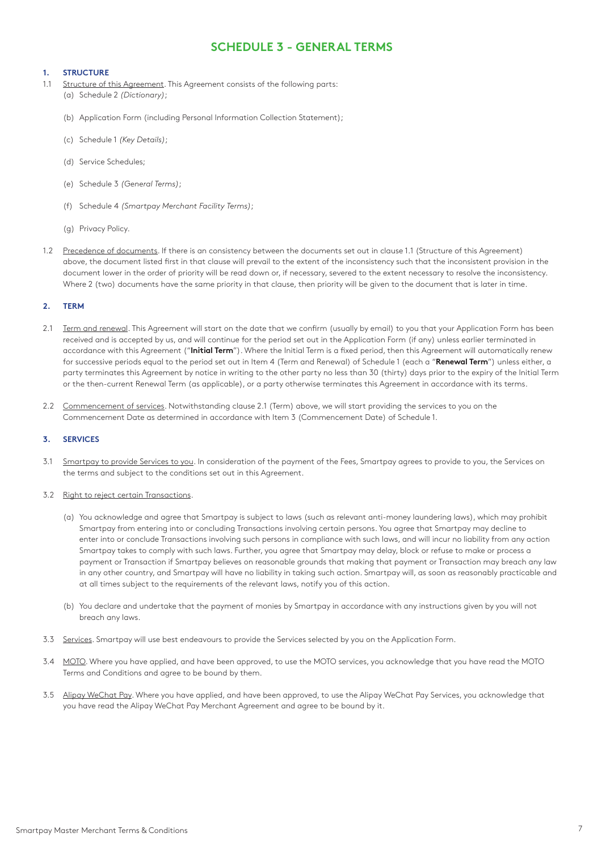# **SCHEDULE 3 - GENERAL TERMS**

### **1. STRUCTURE**

- 1.1 Structure of this Agreement. This Agreement consists of the following parts: (a) Schedule 2 *(Dictionary)*;
	- (b) Application Form (including Personal Information Collection Statement);
	- (c) Schedule 1 *(Key Details)*;
	- (d) Service Schedules;
	- (e) Schedule 3 *(General Terms)*;
	- (f) Schedule 4 *(Smartpay Merchant Facility Terms)*;
	- (g) Privacy Policy.
- 1.2 Precedence of documents. If there is an consistency between the documents set out in clause 1.1 (Structure of this Agreement) above, the document listed first in that clause will prevail to the extent of the inconsistency such that the inconsistent provision in the document lower in the order of priority will be read down or, if necessary, severed to the extent necessary to resolve the inconsistency. Where 2 (two) documents have the same priority in that clause, then priority will be given to the document that is later in time.

#### **2. TERM**

- 2.1 Term and renewal. This Agreement will start on the date that we confirm (usually by email) to you that your Application Form has been received and is accepted by us, and will continue for the period set out in the Application Form (if any) unless earlier terminated in accordance with this Agreement ("**Initial Term**"). Where the Initial Term is a fixed period, then this Agreement will automatically renew for successive periods equal to the period set out in Item 4 (Term and Renewal) of Schedule 1 (each a "**Renewal Term**") unless either, a party terminates this Agreement by notice in writing to the other party no less than 30 (thirty) days prior to the expiry of the Initial Term or the then-current Renewal Term (as applicable), or a party otherwise terminates this Agreement in accordance with its terms.
- 2.2 Commencement of services. Notwithstanding clause 2.1 (Term) above, we will start providing the services to you on the Commencement Date as determined in accordance with Item 3 (Commencement Date) of Schedule 1.

#### **3. SERVICES**

3.1 Smartpay to provide Services to you. In consideration of the payment of the Fees, Smartpay agrees to provide to you, the Services on the terms and subject to the conditions set out in this Agreement.

#### 3.2 Right to reject certain Transactions.

- (a) You acknowledge and agree that Smartpay is subject to laws (such as relevant anti-money laundering laws), which may prohibit Smartpay from entering into or concluding Transactions involving certain persons. You agree that Smartpay may decline to enter into or conclude Transactions involving such persons in compliance with such laws, and will incur no liability from any action Smartpay takes to comply with such laws. Further, you agree that Smartpay may delay, block or refuse to make or process a payment or Transaction if Smartpay believes on reasonable grounds that making that payment or Transaction may breach any law in any other country, and Smartpay will have no liability in taking such action. Smartpay will, as soon as reasonably practicable and at all times subject to the requirements of the relevant laws, notify you of this action.
- (b) You declare and undertake that the payment of monies by Smartpay in accordance with any instructions given by you will not breach any laws.
- 3.3 Services. Smartpay will use best endeavours to provide the Services selected by you on the Application Form.
- 3.4 MOTO. Where you have applied, and have been approved, to use the MOTO services, you acknowledge that you have read the MOTO Terms and Conditions and agree to be bound by them.
- 3.5 Alipay WeChat Pay. Where you have applied, and have been approved, to use the Alipay WeChat Pay Services, you acknowledge that you have read the Alipay WeChat Pay Merchant Agreement and agree to be bound by it.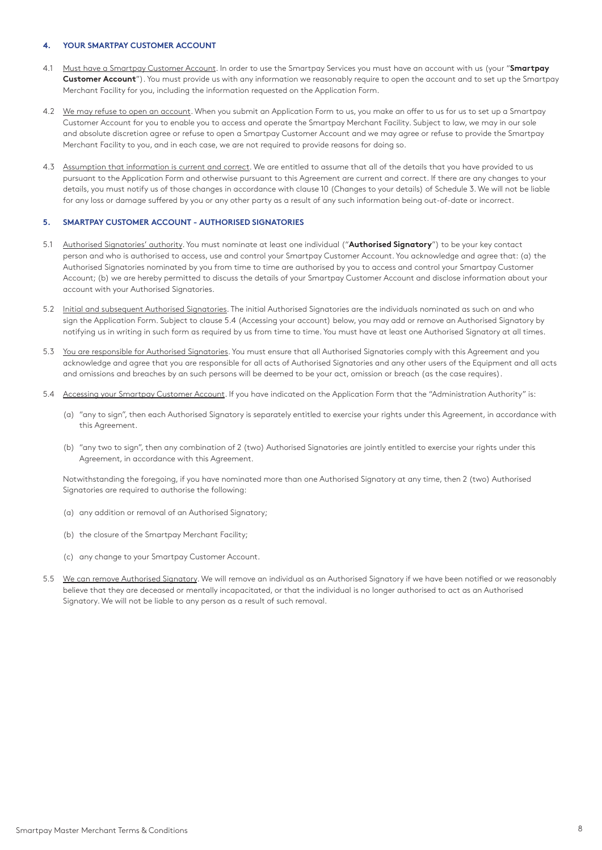#### **4. YOUR SMARTPAY CUSTOMER ACCOUNT**

- 4.1 Must have a Smartpay Customer Account. In order to use the Smartpay Services you must have an account with us (your "**Smartpay Customer Account**"). You must provide us with any information we reasonably require to open the account and to set up the Smartpay Merchant Facility for you, including the information requested on the Application Form.
- 4.2 We may refuse to open an account. When you submit an Application Form to us, you make an offer to us for us to set up a Smartpay Customer Account for you to enable you to access and operate the Smartpay Merchant Facility. Subject to law, we may in our sole and absolute discretion agree or refuse to open a Smartpay Customer Account and we may agree or refuse to provide the Smartpay Merchant Facility to you, and in each case, we are not required to provide reasons for doing so.
- 4.3 Assumption that information is current and correct. We are entitled to assume that all of the details that you have provided to us pursuant to the Application Form and otherwise pursuant to this Agreement are current and correct. If there are any changes to your details, you must notify us of those changes in accordance with clause 10 (Changes to your details) of Schedule 3. We will not be liable for any loss or damage suffered by you or any other party as a result of any such information being out-of-date or incorrect.

#### **5. SMARTPAY CUSTOMER ACCOUNT - AUTHORISED SIGNATORIES**

- 5.1 Authorised Signatories' authority. You must nominate at least one individual ("**Authorised Signatory**") to be your key contact person and who is authorised to access, use and control your Smartpay Customer Account. You acknowledge and agree that: (a) the Authorised Signatories nominated by you from time to time are authorised by you to access and control your Smartpay Customer Account; (b) we are hereby permitted to discuss the details of your Smartpay Customer Account and disclose information about your account with your Authorised Signatories.
- 5.2 Initial and subsequent Authorised Signatories. The initial Authorised Signatories are the individuals nominated as such on and who sign the Application Form. Subject to clause 5.4 (Accessing your account) below, you may add or remove an Authorised Signatory by notifying us in writing in such form as required by us from time to time. You must have at least one Authorised Signatory at all times.
- 5.3 You are responsible for Authorised Signatories. You must ensure that all Authorised Signatories comply with this Agreement and you acknowledge and agree that you are responsible for all acts of Authorised Signatories and any other users of the Equipment and all acts and omissions and breaches by an such persons will be deemed to be your act, omission or breach (as the case requires).
- 5.4 Accessing your Smartpay Customer Account. If you have indicated on the Application Form that the "Administration Authority" is:
	- (a) "any to sign", then each Authorised Signatory is separately entitled to exercise your rights under this Agreement, in accordance with this Agreement.
	- (b) "any two to sign", then any combination of 2 (two) Authorised Signatories are jointly entitled to exercise your rights under this Agreement, in accordance with this Agreement.

Notwithstanding the foregoing, if you have nominated more than one Authorised Signatory at any time, then 2 (two) Authorised Signatories are required to authorise the following:

- (a) any addition or removal of an Authorised Signatory;
- (b) the closure of the Smartpay Merchant Facility;
- (c) any change to your Smartpay Customer Account.
- 5.5 We can remove Authorised Signatory. We will remove an individual as an Authorised Signatory if we have been notified or we reasonably believe that they are deceased or mentally incapacitated, or that the individual is no longer authorised to act as an Authorised Signatory. We will not be liable to any person as a result of such removal.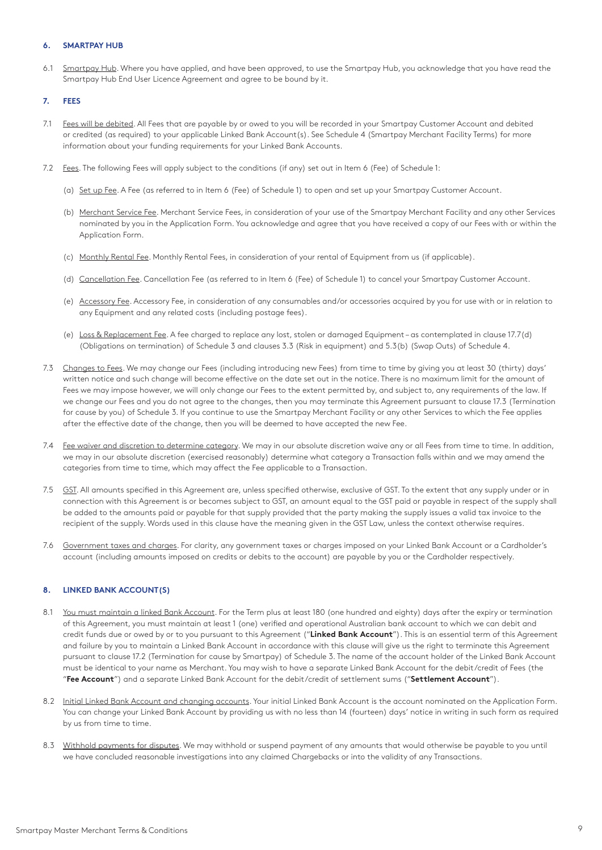#### **6. SMARTPAY HUB**

6.1 Smartpay Hub. Where you have applied, and have been approved, to use the Smartpay Hub, you acknowledge that you have read the Smartpay Hub End User Licence Agreement and agree to be bound by it.

#### **7. FEES**

- 7.1 Fees will be debited. All Fees that are payable by or owed to you will be recorded in your Smartpay Customer Account and debited or credited (as required) to your applicable Linked Bank Account(s). See Schedule 4 (Smartpay Merchant Facility Terms) for more information about your funding requirements for your Linked Bank Accounts.
- 7.2 Fees. The following Fees will apply subject to the conditions (if any) set out in Item 6 (Fee) of Schedule 1:
	- (a) Set up Fee. A Fee (as referred to in Item 6 (Fee) of Schedule 1) to open and set up your Smartpay Customer Account.
	- (b) Merchant Service Fee. Merchant Service Fees, in consideration of your use of the Smartpay Merchant Facility and any other Services nominated by you in the Application Form. You acknowledge and agree that you have received a copy of our Fees with or within the Application Form.
	- (c) Monthly Rental Fee. Monthly Rental Fees, in consideration of your rental of Equipment from us (if applicable).
	- (d) Cancellation Fee. Cancellation Fee (as referred to in Item 6 (Fee) of Schedule 1) to cancel your Smartpay Customer Account.
	- (e) Accessory Fee. Accessory Fee, in consideration of any consumables and/or accessories acquired by you for use with or in relation to any Equipment and any related costs (including postage fees).
	- (e) Loss & Replacement Fee. A fee charged to replace any lost, stolen or damaged Equipment as contemplated in clause 17.7(d) (Obligations on termination) of Schedule 3 and clauses 3.3 (Risk in equipment) and 5.3(b) (Swap Outs) of Schedule 4.
- 7.3 Changes to Fees. We may change our Fees (including introducing new Fees) from time to time by giving you at least 30 (thirty) days' written notice and such change will become effective on the date set out in the notice. There is no maximum limit for the amount of Fees we may impose however, we will only change our Fees to the extent permitted by, and subject to, any requirements of the law. If we change our Fees and you do not agree to the changes, then you may terminate this Agreement pursuant to clause 17.3 (Termination for cause by you) of Schedule 3. If you continue to use the Smartpay Merchant Facility or any other Services to which the Fee applies after the effective date of the change, then you will be deemed to have accepted the new Fee.
- 7.4 Fee waiver and discretion to determine category. We may in our absolute discretion waive any or all Fees from time to time. In addition, we may in our absolute discretion (exercised reasonably) determine what category a Transaction falls within and we may amend the categories from time to time, which may affect the Fee applicable to a Transaction.
- 7.5 GST. All amounts specified in this Agreement are, unless specified otherwise, exclusive of GST. To the extent that any supply under or in connection with this Agreement is or becomes subject to GST, an amount equal to the GST paid or payable in respect of the supply shall be added to the amounts paid or payable for that supply provided that the party making the supply issues a valid tax invoice to the recipient of the supply. Words used in this clause have the meaning given in the GST Law, unless the context otherwise requires.
- 7.6 Government taxes and charges. For clarity, any government taxes or charges imposed on your Linked Bank Account or a Cardholder's account (including amounts imposed on credits or debits to the account) are payable by you or the Cardholder respectively.

### **8. LINKED BANK ACCOUNT(S)**

- 8.1 You must maintain a linked Bank Account. For the Term plus at least 180 (one hundred and eighty) days after the expiry or termination of this Agreement, you must maintain at least 1 (one) verified and operational Australian bank account to which we can debit and credit funds due or owed by or to you pursuant to this Agreement ("**Linked Bank Account**"). This is an essential term of this Agreement and failure by you to maintain a Linked Bank Account in accordance with this clause will give us the right to terminate this Agreement pursuant to clause 17.2 (Termination for cause by Smartpay) of Schedule 3. The name of the account holder of the Linked Bank Account must be identical to your name as Merchant. You may wish to have a separate Linked Bank Account for the debit/credit of Fees (the "**Fee Account**") and a separate Linked Bank Account for the debit/credit of settlement sums ("**Settlement Account**").
- 8.2 Initial Linked Bank Account and changing accounts. Your initial Linked Bank Account is the account nominated on the Application Form. You can change your Linked Bank Account by providing us with no less than 14 (fourteen) days' notice in writing in such form as required by us from time to time.
- 8.3 Withhold payments for disputes. We may withhold or suspend payment of any amounts that would otherwise be payable to you until we have concluded reasonable investigations into any claimed Chargebacks or into the validity of any Transactions.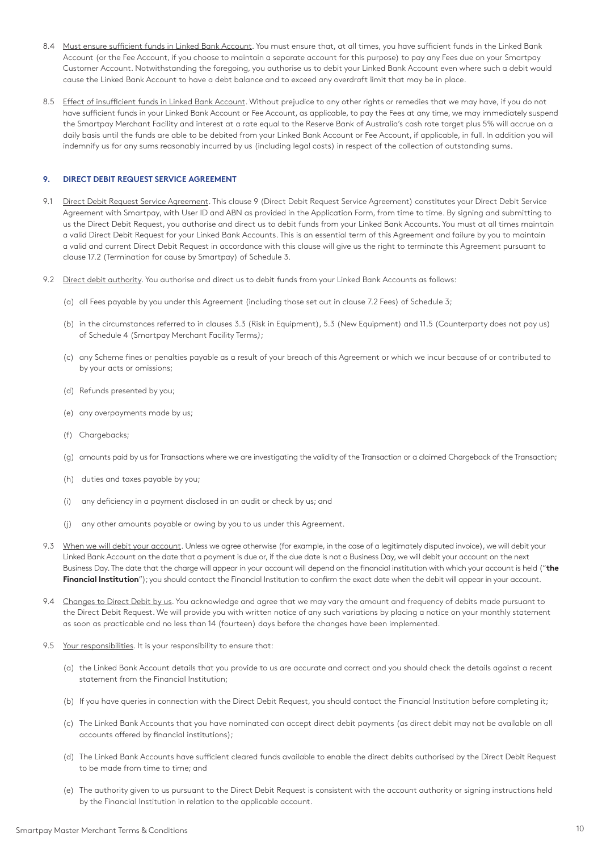- 8.4 Must ensure sufficient funds in Linked Bank Account. You must ensure that, at all times, you have sufficient funds in the Linked Bank Account (or the Fee Account, if you choose to maintain a separate account for this purpose) to pay any Fees due on your Smartpay Customer Account. Notwithstanding the foregoing, you authorise us to debit your Linked Bank Account even where such a debit would cause the Linked Bank Account to have a debt balance and to exceed any overdraft limit that may be in place.
- 8.5 Effect of insufficient funds in Linked Bank Account. Without prejudice to any other rights or remedies that we may have, if you do not have sufficient funds in your Linked Bank Account or Fee Account, as applicable, to pay the Fees at any time, we may immediately suspend the Smartpay Merchant Facility and interest at a rate equal to the Reserve Bank of Australia's cash rate target plus 5% will accrue on a daily basis until the funds are able to be debited from your Linked Bank Account or Fee Account, if applicable, in full. In addition you will indemnify us for any sums reasonably incurred by us (including legal costs) in respect of the collection of outstanding sums.

#### **9. DIRECT DEBIT REQUEST SERVICE AGREEMENT**

- 9.1 Direct Debit Request Service Agreement. This clause 9 (Direct Debit Request Service Agreement) constitutes your Direct Debit Service Agreement with Smartpay, with User ID and ABN as provided in the Application Form, from time to time. By signing and submitting to us the Direct Debit Request, you authorise and direct us to debit funds from your Linked Bank Accounts. You must at all times maintain a valid Direct Debit Request for your Linked Bank Accounts. This is an essential term of this Agreement and failure by you to maintain a valid and current Direct Debit Request in accordance with this clause will give us the right to terminate this Agreement pursuant to clause 17.2 (Termination for cause by Smartpay) of Schedule 3.
- 9.2 Direct debit authority. You authorise and direct us to debit funds from your Linked Bank Accounts as follows:
	- (a) all Fees payable by you under this Agreement (including those set out in clause 7.2 Fees) of Schedule 3;
	- (b) in the circumstances referred to in clauses 3.3 (Risk in Equipment), 5.3 (New Equipment) and 11.5 (Counterparty does not pay us) of Schedule 4 (Smartpay Merchant Facility Terms*)*;
	- (c) any Scheme fines or penalties payable as a result of your breach of this Agreement or which we incur because of or contributed to by your acts or omissions;
	- (d) Refunds presented by you;
	- (e) any overpayments made by us;
	- (f) Chargebacks;
	- (g) amounts paid by us for Transactions where we are investigating the validity of the Transaction or a claimed Chargeback of the Transaction;
	- (h) duties and taxes payable by you;
	- (i) any deficiency in a payment disclosed in an audit or check by us; and
	- (j) any other amounts payable or owing by you to us under this Agreement.
- 9.3 When we will debit your account. Unless we agree otherwise (for example, in the case of a legitimately disputed invoice), we will debit your Linked Bank Account on the date that a payment is due or, if the due date is not a Business Day, we will debit your account on the next Business Day. The date that the charge will appear in your account will depend on the financial institution with which your account is held ("**the**  Financial Institution"); you should contact the Financial Institution to confirm the exact date when the debit will appear in your account.
- 9.4 Changes to Direct Debit by us. You acknowledge and agree that we may vary the amount and frequency of debits made pursuant to the Direct Debit Request. We will provide you with written notice of any such variations by placing a notice on your monthly statement as soon as practicable and no less than 14 (fourteen) days before the changes have been implemented.
- 9.5 Your responsibilities. It is your responsibility to ensure that:
	- (a) the Linked Bank Account details that you provide to us are accurate and correct and you should check the details against a recent statement from the Financial Institution;
	- (b) If you have queries in connection with the Direct Debit Request, you should contact the Financial Institution before completing it;
	- (c) The Linked Bank Accounts that you have nominated can accept direct debit payments (as direct debit may not be available on all accounts offered by financial institutions);
	- (d) The Linked Bank Accounts have sufficient cleared funds available to enable the direct debits authorised by the Direct Debit Request to be made from time to time; and
	- (e) The authority given to us pursuant to the Direct Debit Request is consistent with the account authority or signing instructions held by the Financial Institution in relation to the applicable account.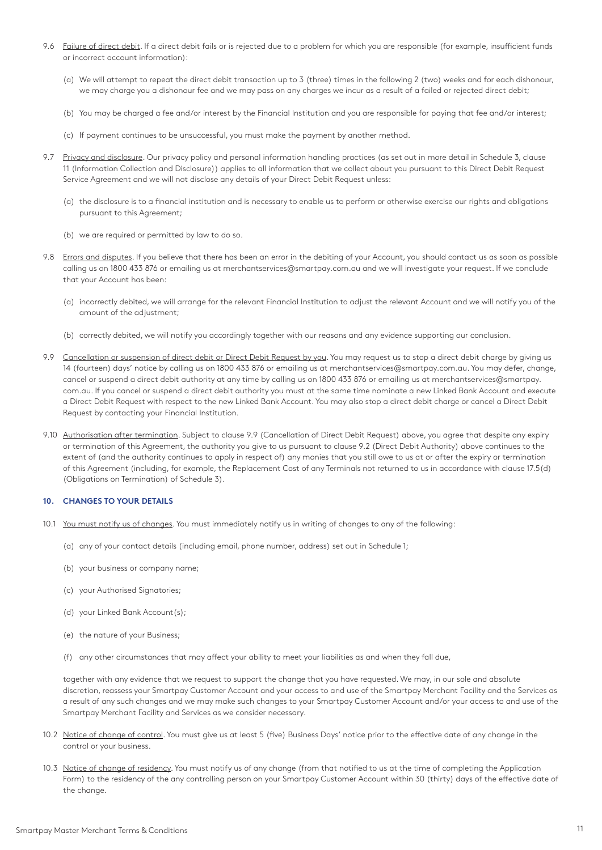- 9.6 Failure of direct debit. If a direct debit fails or is rejected due to a problem for which you are responsible (for example, insufficient funds or incorrect account information):
	- (a) We will attempt to repeat the direct debit transaction up to 3 (three) times in the following 2 (two) weeks and for each dishonour, we may charge you a dishonour fee and we may pass on any charges we incur as a result of a failed or rejected direct debit;
	- (b) You may be charged a fee and/or interest by the Financial Institution and you are responsible for paying that fee and/or interest;
	- (c) If payment continues to be unsuccessful, you must make the payment by another method.
- 9.7 Privacy and disclosure. Our privacy policy and personal information handling practices (as set out in more detail in Schedule 3, clause 11 (Information Collection and Disclosure)) applies to all information that we collect about you pursuant to this Direct Debit Request Service Agreement and we will not disclose any details of your Direct Debit Request unless:
	- (a) the disclosure is to a financial institution and is necessary to enable us to perform or otherwise exercise our rights and obligations pursuant to this Agreement;
	- (b) we are required or permitted by law to do so.
- 9.8 Errors and disputes. If you believe that there has been an error in the debiting of your Account, you should contact us as soon as possible calling us on 1800 433 876 or emailing us at merchantservices@smartpay.com.au and we will investigate your request. If we conclude that your Account has been:
	- (a) incorrectly debited, we will arrange for the relevant Financial Institution to adjust the relevant Account and we will notify you of the amount of the adjustment;
	- (b) correctly debited, we will notify you accordingly together with our reasons and any evidence supporting our conclusion.
- 9.9 Cancellation or suspension of direct debit or Direct Debit Request by you. You may request us to stop a direct debit charge by giving us 14 (fourteen) days' notice by calling us on 1800 433 876 or emailing us at merchantservices@smartpay.com.au. You may defer, change, cancel or suspend a direct debit authority at any time by calling us on 1800 433 876 or emailing us at merchantservices@smartpay. com.au. If you cancel or suspend a direct debit authority you must at the same time nominate a new Linked Bank Account and execute a Direct Debit Request with respect to the new Linked Bank Account. You may also stop a direct debit charge or cancel a Direct Debit Request by contacting your Financial Institution.
- 9.10 Authorisation after termination. Subject to clause 9.9 (Cancellation of Direct Debit Request) above, you agree that despite any expiry or termination of this Agreement, the authority you give to us pursuant to clause 9.2 (Direct Debit Authority) above continues to the extent of (and the authority continues to apply in respect of) any monies that you still owe to us at or after the expiry or termination of this Agreement (including, for example, the Replacement Cost of any Terminals not returned to us in accordance with clause 17.5(d) (Obligations on Termination) of Schedule 3).

#### **10. CHANGES TO YOUR DETAILS**

- 10.1 You must notify us of changes. You must immediately notify us in writing of changes to any of the following:
	- (a) any of your contact details (including email, phone number, address) set out in Schedule 1;
	- (b) your business or company name;
	- (c) your Authorised Signatories;
	- (d) your Linked Bank Account(s);
	- (e) the nature of your Business;
	- (f) any other circumstances that may affect your ability to meet your liabilities as and when they fall due,

together with any evidence that we request to support the change that you have requested. We may, in our sole and absolute discretion, reassess your Smartpay Customer Account and your access to and use of the Smartpay Merchant Facility and the Services as a result of any such changes and we may make such changes to your Smartpay Customer Account and/or your access to and use of the Smartpay Merchant Facility and Services as we consider necessary.

- 10.2 Notice of change of control. You must give us at least 5 (five) Business Days' notice prior to the effective date of any change in the control or your business.
- 10.3 Notice of change of residency. You must notify us of any change (from that notified to us at the time of completing the Application Form) to the residency of the any controlling person on your Smartpay Customer Account within 30 (thirty) days of the effective date of the change.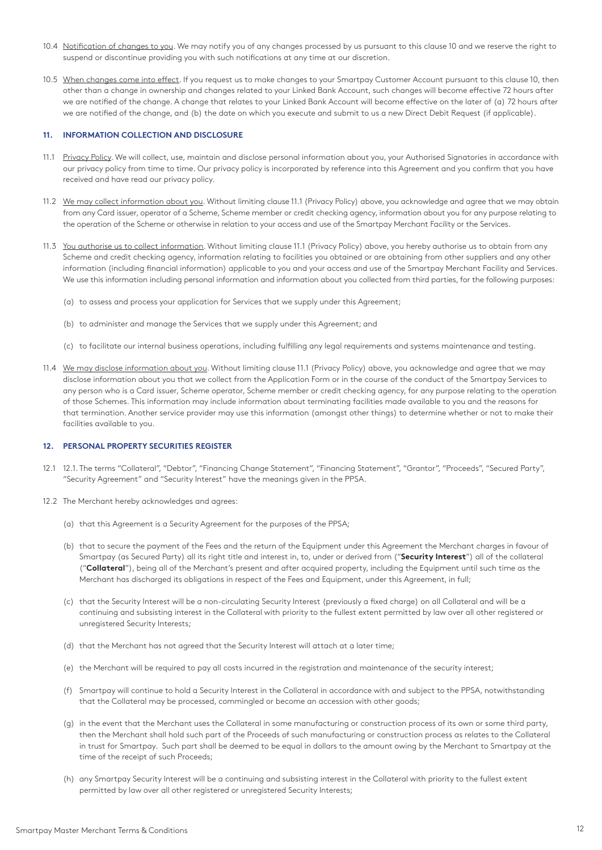- 10.4 Notification of changes to you. We may notify you of any changes processed by us pursuant to this clause 10 and we reserve the right to suspend or discontinue providing you with such notifications at any time at our discretion.
- 10.5 When changes come into effect. If you request us to make changes to your Smartpay Customer Account pursuant to this clause 10, then other than a change in ownership and changes related to your Linked Bank Account, such changes will become effective 72 hours after we are notified of the change. A change that relates to your Linked Bank Account will become effective on the later of (a) 72 hours after we are notified of the change, and (b) the date on which you execute and submit to us a new Direct Debit Request (if applicable).

#### **11. INFORMATION COLLECTION AND DISCLOSURE**

- 11.1 Privacy Policy. We will collect, use, maintain and disclose personal information about you, your Authorised Signatories in accordance with our privacy policy from time to time. Our privacy policy is incorporated by reference into this Agreement and you confirm that you have received and have read our privacy policy.
- 11.2 We may collect information about you. Without limiting clause 11.1 (Privacy Policy) above, you acknowledge and agree that we may obtain from any Card issuer, operator of a Scheme, Scheme member or credit checking agency, information about you for any purpose relating to the operation of the Scheme or otherwise in relation to your access and use of the Smartpay Merchant Facility or the Services.
- 11.3 You authorise us to collect information. Without limiting clause 11.1 (Privacy Policy) above, you hereby authorise us to obtain from any Scheme and credit checking agency, information relating to facilities you obtained or are obtaining from other suppliers and any other information (including financial information) applicable to you and your access and use of the Smartpay Merchant Facility and Services. We use this information including personal information and information about you collected from third parties, for the following purposes:
	- (a) to assess and process your application for Services that we supply under this Agreement;
	- (b) to administer and manage the Services that we supply under this Agreement; and
	- (c) to facilitate our internal business operations, including fulfilling any legal requirements and systems maintenance and testing.
- 11.4 We may disclose information about you. Without limiting clause 11.1 (Privacy Policy) above, you acknowledge and agree that we may disclose information about you that we collect from the Application Form or in the course of the conduct of the Smartpay Services to any person who is a Card issuer, Scheme operator, Scheme member or credit checking agency, for any purpose relating to the operation of those Schemes. This information may include information about terminating facilities made available to you and the reasons for that termination. Another service provider may use this information (amongst other things) to determine whether or not to make their facilities available to you.

#### **12. PERSONAL PROPERTY SECURITIES REGISTER**

- 12.1 12.1. The terms "Collateral", "Debtor", "Financing Change Statement", "Financing Statement", "Grantor", "Proceeds", "Secured Party", "Security Agreement" and "Security Interest" have the meanings given in the PPSA.
- 12.2 The Merchant hereby acknowledges and agrees:
	- (a) that this Agreement is a Security Agreement for the purposes of the PPSA;
	- (b) that to secure the payment of the Fees and the return of the Equipment under this Agreement the Merchant charges in favour of Smartpay (as Secured Party) all its right title and interest in, to, under or derived from ("**Security Interest**") all of the collateral ("**Collateral**"), being all of the Merchant's present and after acquired property, including the Equipment until such time as the Merchant has discharged its obligations in respect of the Fees and Equipment, under this Agreement, in full;
	- (c) that the Security Interest will be a non-circulating Security Interest (previously a fixed charge) on all Collateral and will be a continuing and subsisting interest in the Collateral with priority to the fullest extent permitted by law over all other registered or unregistered Security Interests;
	- (d) that the Merchant has not agreed that the Security Interest will attach at a later time;
	- (e) the Merchant will be required to pay all costs incurred in the registration and maintenance of the security interest;
	- (f) Smartpay will continue to hold a Security Interest in the Collateral in accordance with and subject to the PPSA, notwithstanding that the Collateral may be processed, commingled or become an accession with other goods;
	- (g) in the event that the Merchant uses the Collateral in some manufacturing or construction process of its own or some third party, then the Merchant shall hold such part of the Proceeds of such manufacturing or construction process as relates to the Collateral in trust for Smartpay. Such part shall be deemed to be equal in dollars to the amount owing by the Merchant to Smartpay at the time of the receipt of such Proceeds;
	- (h) any Smartpay Security Interest will be a continuing and subsisting interest in the Collateral with priority to the fullest extent permitted by law over all other registered or unregistered Security Interests;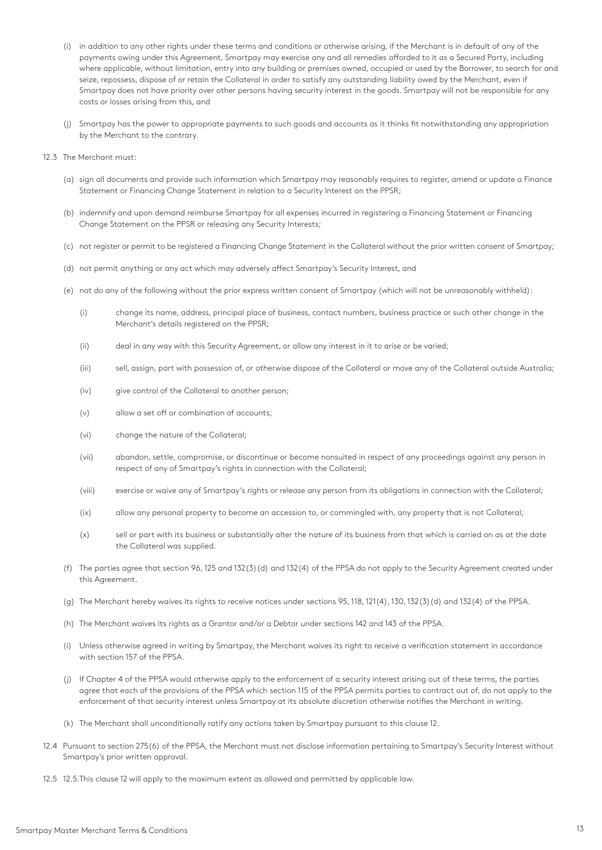- (i) in addition to any other rights under these terms and conditions or otherwise arising, if the Merchant is in default of any of the payments owing under this Agreement, Smartpay may exercise any and all remedies afforded to it as a Secured Party, including where applicable, without limitation, entry into any building or premises owned, occupied or used by the Borrower, to search for and seize, repossess, dispose of or retain the Collateral in order to satisfy any outstanding liability owed by the Merchant, even if Smartpay does not have priority over other persons having security interest in the goods. Smartpay will not be responsible for any costs or losses arising from this, and
- (j) Smartpay has the power to appropriate payments to such goods and accounts as it thinks fit notwithstanding any appropriation by the Merchant to the contrary.
- 12.3 The Merchant must:
	- (a) sign all documents and provide such information which Smartpay may reasonably requires to register, amend or update a Finance Statement or Financing Change Statement in relation to a Security Interest on the PPSR;
	- (b) indemnify and upon demand reimburse Smartpay for all expenses incurred in registering a Financing Statement or Financing Change Statement on the PPSR or releasing any Security Interests;
	- (c) not register or permit to be registered a Financing Change Statement in the Collateral without the prior written consent of Smartpay;
	- (d) not permit anything or any act which may adversely affect Smartpay's Security Interest, and
	- (e) not do any of the following without the prior express written consent of Smartpay (which will not be unreasonably withheld):
		- (i) change its name, address, principal place of business, contact numbers, business practice or such other change in the Merchant's details registered on the PPSR;
		- (ii) deal in any way with this Security Agreement, or allow any interest in it to arise or be varied;
		- (iii) sell, assign, part with possession of, or otherwise dispose of the Collateral or move any of the Collateral outside Australia;
		- (iv) give control of the Collateral to another person;
		- (v) allow a set off or combination of accounts;
		- (vi) change the nature of the Collateral;
		- (vii) abandon, settle, compromise, or discontinue or become nonsuited in respect of any proceedings against any person in respect of any of Smartpay's rights in connection with the Collateral;
		- (viii) exercise or waive any of Smartpay's rights or release any person from its obligations in connection with the Collateral;
		- (ix) allow any personal property to become an accession to, or commingled with, any property that is not Collateral;
		- (x) sell or part with its business or substantially alter the nature of its business from that which is carried on as at the date the Collateral was supplied.
	- (f) The parties agree that section 96, 125 and 132(3)(d) and 132(4) of the PPSA do not apply to the Security Agreement created under this Agreement.
	- (g) The Merchant hereby waives its rights to receive notices under sections 95, 118, 121(4), 130, 132(3)(d) and 132(4) of the PPSA.
	- (h) The Merchant waives its rights as a Grantor and/or a Debtor under sections 142 and 143 of the PPSA.
	- (i) Unless otherwise agreed in writing by Smartpay, the Merchant waives its right to receive a verification statement in accordance with section 157 of the PPSA.
	- (j) If Chapter 4 of the PPSA would otherwise apply to the enforcement of a security interest arising out of these terms, the parties agree that each of the provisions of the PPSA which section 115 of the PPSA permits parties to contract out of, do not apply to the enforcement of that security interest unless Smartpay at its absolute discretion otherwise notifies the Merchant in writing.
	- (k) The Merchant shall unconditionally ratify any actions taken by Smartpay pursuant to this clause 12.
- 12.4 Pursuant to section 275(6) of the PPSA, the Merchant must not disclose information pertaining to Smartpay's Security Interest without Smartpay's prior written approval.
- 12.5 12.5.This clause 12 will apply to the maximum extent as allowed and permitted by applicable law.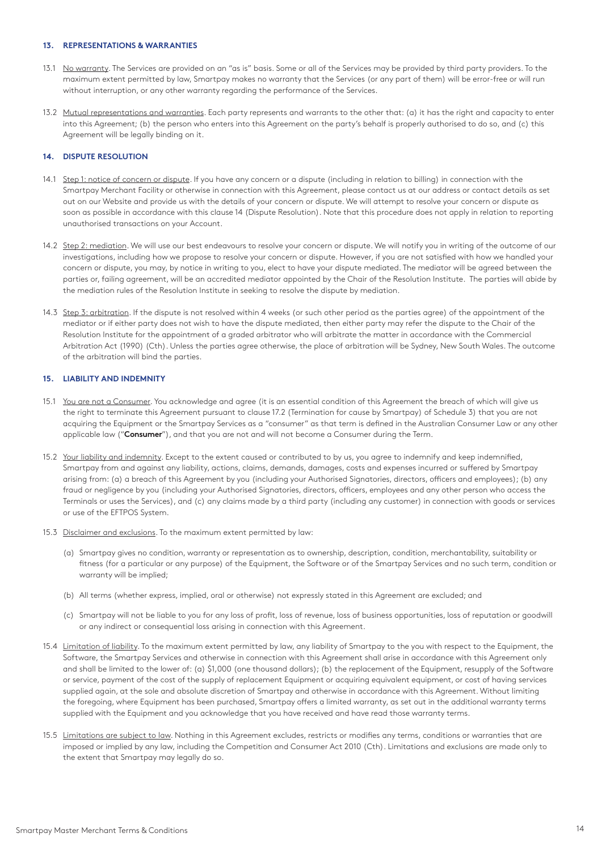#### **13. REPRESENTATIONS & WARRANTIES**

- 13.1 No warranty. The Services are provided on an "as is" basis. Some or all of the Services may be provided by third party providers. To the maximum extent permitted by law, Smartpay makes no warranty that the Services (or any part of them) will be error-free or will run without interruption, or any other warranty regarding the performance of the Services.
- 13.2 Mutual representations and warranties. Each party represents and warrants to the other that: (a) it has the right and capacity to enter into this Agreement; (b) the person who enters into this Agreement on the party's behalf is properly authorised to do so, and (c) this Agreement will be legally binding on it.

#### **14. DISPUTE RESOLUTION**

- 14.1 Step 1: notice of concern or dispute. If you have any concern or a dispute (including in relation to billing) in connection with the Smartpay Merchant Facility or otherwise in connection with this Agreement, please contact us at our address or contact details as set out on our Website and provide us with the details of your concern or dispute. We will attempt to resolve your concern or dispute as soon as possible in accordance with this clause 14 (Dispute Resolution). Note that this procedure does not apply in relation to reporting unauthorised transactions on your Account.
- 14.2 Step 2: mediation. We will use our best endeavours to resolve your concern or dispute. We will notify you in writing of the outcome of our investigations, including how we propose to resolve your concern or dispute. However, if you are not satisfied with how we handled your concern or dispute, you may, by notice in writing to you, elect to have your dispute mediated. The mediator will be agreed between the parties or, failing agreement, will be an accredited mediator appointed by the Chair of the Resolution Institute. The parties will abide by the mediation rules of the Resolution Institute in seeking to resolve the dispute by mediation.
- 14.3 Step 3: arbitration. If the dispute is not resolved within 4 weeks (or such other period as the parties agree) of the appointment of the mediator or if either party does not wish to have the dispute mediated, then either party may refer the dispute to the Chair of the Resolution Institute for the appointment of a graded arbitrator who will arbitrate the matter in accordance with the Commercial Arbitration Act (1990) (Cth). Unless the parties agree otherwise, the place of arbitration will be Sydney, New South Wales. The outcome of the arbitration will bind the parties.

#### **15. LIABILITY AND INDEMNITY**

- 15.1 You are not a Consumer. You acknowledge and agree (it is an essential condition of this Agreement the breach of which will give us the right to terminate this Agreement pursuant to clause 17.2 (Termination for cause by Smartpay) of Schedule 3) that you are not acquiring the Equipment or the Smartpay Services as a "consumer" as that term is defined in the Australian Consumer Law or any other applicable law ("**Consumer**"), and that you are not and will not become a Consumer during the Term.
- 15.2 Your liability and indemnity. Except to the extent caused or contributed to by us, you agree to indemnify and keep indemnified, Smartpay from and against any liability, actions, claims, demands, damages, costs and expenses incurred or suffered by Smartpay arising from: (a) a breach of this Agreement by you (including your Authorised Signatories, directors, officers and employees); (b) any fraud or negligence by you (including your Authorised Signatories, directors, officers, employees and any other person who access the Terminals or uses the Services), and (c) any claims made by a third party (including any customer) in connection with goods or services or use of the EFTPOS System.
- 15.3 Disclaimer and exclusions. To the maximum extent permitted by law:
	- (a) Smartpay gives no condition, warranty or representation as to ownership, description, condition, merchantability, suitability or fitness (for a particular or any purpose) of the Equipment, the Software or of the Smartpay Services and no such term, condition or warranty will be implied;
	- (b) All terms (whether express, implied, oral or otherwise) not expressly stated in this Agreement are excluded; and
	- (c) Smartpay will not be liable to you for any loss of profit, loss of revenue, loss of business opportunities, loss of reputation or goodwill or any indirect or consequential loss arising in connection with this Agreement.
- 15.4 Limitation of liability. To the maximum extent permitted by law, any liability of Smartpay to the you with respect to the Equipment, the Software, the Smartpay Services and otherwise in connection with this Agreement shall arise in accordance with this Agreement only and shall be limited to the lower of: (a) \$1,000 (one thousand dollars); (b) the replacement of the Equipment, resupply of the Software or service, payment of the cost of the supply of replacement Equipment or acquiring equivalent equipment, or cost of having services supplied again, at the sole and absolute discretion of Smartpay and otherwise in accordance with this Agreement. Without limiting the foregoing, where Equipment has been purchased, Smartpay offers a limited warranty, as set out in the additional warranty terms supplied with the Equipment and you acknowledge that you have received and have read those warranty terms.
- 15.5 Limitations are subject to law. Nothing in this Agreement excludes, restricts or modifies any terms, conditions or warranties that are imposed or implied by any law, including the Competition and Consumer Act 2010 (Cth). Limitations and exclusions are made only to the extent that Smartpay may legally do so.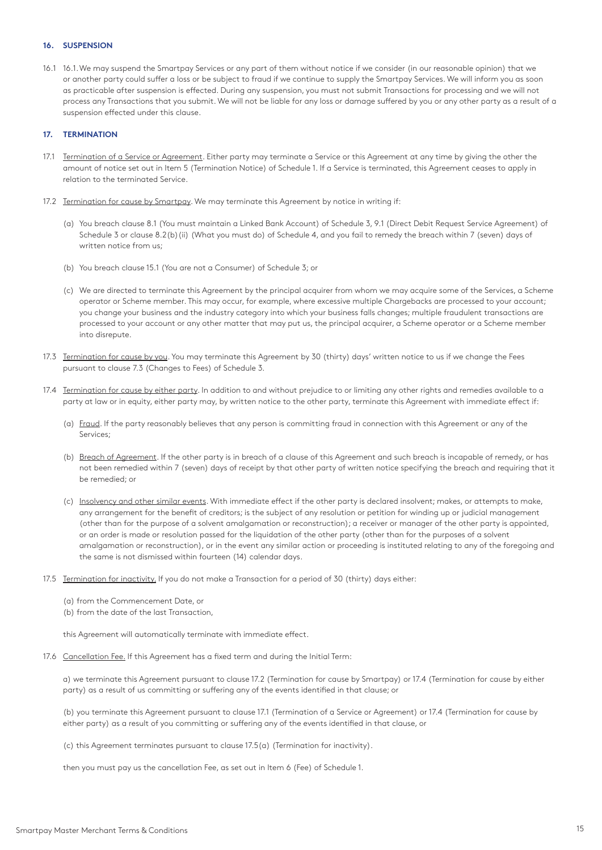#### **16. SUSPENSION**

16.1 16.1.We may suspend the Smartpay Services or any part of them without notice if we consider (in our reasonable opinion) that we or another party could suffer a loss or be subject to fraud if we continue to supply the Smartpay Services. We will inform you as soon as practicable after suspension is effected. During any suspension, you must not submit Transactions for processing and we will not process any Transactions that you submit. We will not be liable for any loss or damage suffered by you or any other party as a result of a suspension effected under this clause.

#### **17. TERMINATION**

- 17.1 Termination of a Service or Agreement. Either party may terminate a Service or this Agreement at any time by giving the other the amount of notice set out in Item 5 (Termination Notice) of Schedule 1. If a Service is terminated, this Agreement ceases to apply in relation to the terminated Service.
- 17.2 Termination for cause by Smartpay. We may terminate this Agreement by notice in writing if:
	- (a) You breach clause 8.1 (You must maintain a Linked Bank Account) of Schedule 3, 9.1 (Direct Debit Request Service Agreement) of Schedule 3 or clause 8.2(b)(ii) (What you must do) of Schedule 4, and you fail to remedy the breach within 7 (seven) days of written notice from us;
	- (b) You breach clause 15.1 (You are not a Consumer) of Schedule 3; or
	- (c) We are directed to terminate this Agreement by the principal acquirer from whom we may acquire some of the Services, a Scheme operator or Scheme member. This may occur, for example, where excessive multiple Chargebacks are processed to your account; you change your business and the industry category into which your business falls changes; multiple fraudulent transactions are processed to your account or any other matter that may put us, the principal acquirer, a Scheme operator or a Scheme member into disrepute.
- 17.3 Termination for cause by you. You may terminate this Agreement by 30 (thirty) days' written notice to us if we change the Fees pursuant to clause 7.3 (Changes to Fees) of Schedule 3.
- 17.4 Termination for cause by either party. In addition to and without prejudice to or limiting any other rights and remedies available to a party at law or in equity, either party may, by written notice to the other party, terminate this Agreement with immediate effect if:
	- (a) Fraud. If the party reasonably believes that any person is committing fraud in connection with this Agreement or any of the Services;
	- (b) Breach of Agreement. If the other party is in breach of a clause of this Agreement and such breach is incapable of remedy, or has not been remedied within 7 (seven) days of receipt by that other party of written notice specifying the breach and requiring that it be remedied; or
	- (c) Insolvency and other similar events. With immediate effect if the other party is declared insolvent; makes, or attempts to make, any arrangement for the benefit of creditors; is the subject of any resolution or petition for winding up or judicial management (other than for the purpose of a solvent amalgamation or reconstruction); a receiver or manager of the other party is appointed, or an order is made or resolution passed for the liquidation of the other party (other than for the purposes of a solvent amalgamation or reconstruction), or in the event any similar action or proceeding is instituted relating to any of the foregoing and the same is not dismissed within fourteen (14) calendar days.
- 17.5 Termination for inactivity. If you do not make a Transaction for a period of 30 (thirty) days either:
	- (a) from the Commencement Date, or
	- (b) from the date of the last Transaction,

this Agreement will automatically terminate with immediate effect.

17.6 Cancellation Fee. If this Agreement has a fixed term and during the Initial Term:

a) we terminate this Agreement pursuant to clause 17.2 (Termination for cause by Smartpay) or 17.4 (Termination for cause by either party) as a result of us committing or suffering any of the events identified in that clause; or

(b) you terminate this Agreement pursuant to clause 17.1 (Termination of a Service or Agreement) or 17.4 (Termination for cause by either party) as a result of you committing or suffering any of the events identified in that clause, or

(c) this Agreement terminates pursuant to clause 17.5(a) (Termination for inactivity).

then you must pay us the cancellation Fee, as set out in Item 6 (Fee) of Schedule 1.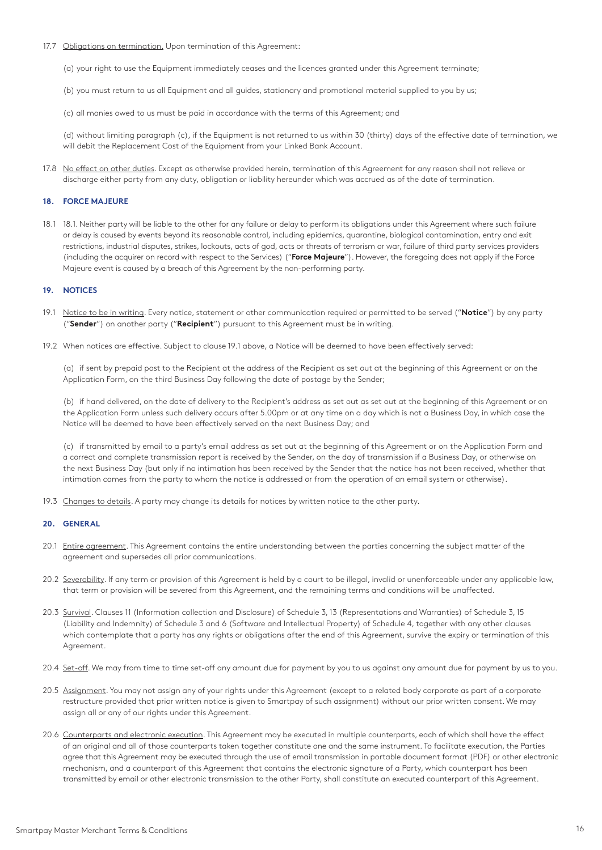#### 17.7 Obligations on termination. Upon termination of this Agreement:

(a) your right to use the Equipment immediately ceases and the licences granted under this Agreement terminate;

(b) you must return to us all Equipment and all guides, stationary and promotional material supplied to you by us;

(c) all monies owed to us must be paid in accordance with the terms of this Agreement; and

(d) without limiting paragraph (c), if the Equipment is not returned to us within 30 (thirty) days of the effective date of termination, we will debit the Replacement Cost of the Equipment from your Linked Bank Account.

17.8 No effect on other duties. Except as otherwise provided herein, termination of this Agreement for any reason shall not relieve or discharge either party from any duty, obligation or liability hereunder which was accrued as of the date of termination.

#### **18. FORCE MAJEURE**

18.1 18.1. Neither party will be liable to the other for any failure or delay to perform its obligations under this Agreement where such failure or delay is caused by events beyond its reasonable control, including epidemics, quarantine, biological contamination, entry and exit restrictions, industrial disputes, strikes, lockouts, acts of god, acts or threats of terrorism or war, failure of third party services providers (including the acquirer on record with respect to the Services) ("**Force Majeure**"). However, the foregoing does not apply if the Force Majeure event is caused by a breach of this Agreement by the non-performing party.

#### **19. NOTICES**

- 19.1 Notice to be in writing. Every notice, statement or other communication required or permitted to be served ("**Notice**") by any party ("**Sender**") on another party ("**Recipient**") pursuant to this Agreement must be in writing.
- 19.2 When notices are effective. Subject to clause 19.1 above, a Notice will be deemed to have been effectively served:

(a) if sent by prepaid post to the Recipient at the address of the Recipient as set out at the beginning of this Agreement or on the Application Form, on the third Business Day following the date of postage by the Sender;

(b) if hand delivered, on the date of delivery to the Recipient's address as set out as set out at the beginning of this Agreement or on the Application Form unless such delivery occurs after 5.00pm or at any time on a day which is not a Business Day, in which case the Notice will be deemed to have been effectively served on the next Business Day; and

(c) if transmitted by email to a party's email address as set out at the beginning of this Agreement or on the Application Form and a correct and complete transmission report is received by the Sender, on the day of transmission if a Business Day, or otherwise on the next Business Day (but only if no intimation has been received by the Sender that the notice has not been received, whether that intimation comes from the party to whom the notice is addressed or from the operation of an email system or otherwise).

19.3 Changes to details. A party may change its details for notices by written notice to the other party.

#### **20. GENERAL**

- 20.1 Entire agreement. This Agreement contains the entire understanding between the parties concerning the subject matter of the agreement and supersedes all prior communications.
- 20.2 Severability. If any term or provision of this Agreement is held by a court to be illegal, invalid or unenforceable under any applicable law, that term or provision will be severed from this Agreement, and the remaining terms and conditions will be unaffected.
- 20.3 Survival. Clauses 11 (Information collection and Disclosure) of Schedule 3, 13 (Representations and Warranties) of Schedule 3, 15 (Liability and Indemnity) of Schedule 3 and 6 (Software and Intellectual Property) of Schedule 4, together with any other clauses which contemplate that a party has any rights or obligations after the end of this Agreement, survive the expiry or termination of this Agreement.
- 20.4 Set-off. We may from time to time set-off any amount due for payment by you to us against any amount due for payment by us to you.
- 20.5 Assignment. You may not assign any of your rights under this Agreement (except to a related body corporate as part of a corporate restructure provided that prior written notice is given to Smartpay of such assignment) without our prior written consent. We may assign all or any of our rights under this Agreement.
- 20.6 Counterparts and electronic execution. This Agreement may be executed in multiple counterparts, each of which shall have the effect of an original and all of those counterparts taken together constitute one and the same instrument. To facilitate execution, the Parties agree that this Agreement may be executed through the use of email transmission in portable document format (PDF) or other electronic mechanism, and a counterpart of this Agreement that contains the electronic signature of a Party, which counterpart has been transmitted by email or other electronic transmission to the other Party, shall constitute an executed counterpart of this Agreement.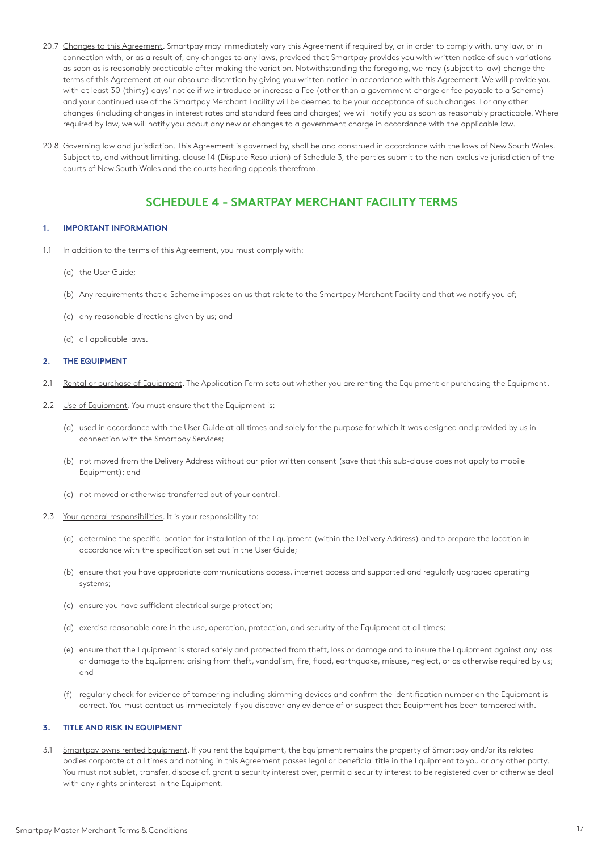- 20.7 Changes to this Agreement. Smartpay may immediately vary this Agreement if required by, or in order to comply with, any law, or in connection with, or as a result of, any changes to any laws, provided that Smartpay provides you with written notice of such variations as soon as is reasonably practicable after making the variation. Notwithstanding the foregoing, we may (subject to law) change the terms of this Agreement at our absolute discretion by giving you written notice in accordance with this Agreement. We will provide you with at least 30 (thirty) days' notice if we introduce or increase a Fee (other than a government charge or fee payable to a Scheme) and your continued use of the Smartpay Merchant Facility will be deemed to be your acceptance of such changes. For any other changes (including changes in interest rates and standard fees and charges) we will notify you as soon as reasonably practicable. Where required by law, we will notify you about any new or changes to a government charge in accordance with the applicable law.
- 20.8 Governing law and jurisdiction. This Agreement is governed by, shall be and construed in accordance with the laws of New South Wales. Subject to, and without limiting, clause 14 (Dispute Resolution) of Schedule 3, the parties submit to the non-exclusive jurisdiction of the courts of New South Wales and the courts hearing appeals therefrom.

# **SCHEDULE 4 - SMARTPAY MERCHANT FACILITY TERMS**

### **1. IMPORTANT INFORMATION**

- 1.1 In addition to the terms of this Agreement, you must comply with:
	- (a) the User Guide;
	- (b) Any requirements that a Scheme imposes on us that relate to the Smartpay Merchant Facility and that we notify you of;
	- (c) any reasonable directions given by us; and
	- (d) all applicable laws.

### **2. THE EQUIPMENT**

- 2.1 Rental or purchase of Equipment. The Application Form sets out whether you are renting the Equipment or purchasing the Equipment.
- 2.2 Use of Equipment. You must ensure that the Equipment is:
	- (a) used in accordance with the User Guide at all times and solely for the purpose for which it was designed and provided by us in connection with the Smartpay Services;
	- (b) not moved from the Delivery Address without our prior written consent (save that this sub-clause does not apply to mobile Equipment); and
	- (c) not moved or otherwise transferred out of your control.
- 2.3 Your general responsibilities. It is your responsibility to:
	- (a) determine the specific location for installation of the Equipment (within the Delivery Address) and to prepare the location in accordance with the specification set out in the User Guide;
	- (b) ensure that you have appropriate communications access, internet access and supported and regularly upgraded operating systems;
	- (c) ensure you have sufficient electrical surge protection;
	- (d) exercise reasonable care in the use, operation, protection, and security of the Equipment at all times;
	- (e) ensure that the Equipment is stored safely and protected from theft, loss or damage and to insure the Equipment against any loss or damage to the Equipment arising from theft, vandalism, fire, flood, earthquake, misuse, neglect, or as otherwise required by us; and
	- (f) regularly check for evidence of tampering including skimming devices and confirm the identification number on the Equipment is correct. You must contact us immediately if you discover any evidence of or suspect that Equipment has been tampered with.

### **3. TITLE AND RISK IN EQUIPMENT**

3.1 Smartpay owns rented Equipment. If you rent the Equipment, the Equipment remains the property of Smartpay and/or its related bodies corporate at all times and nothing in this Agreement passes legal or beneficial title in the Equipment to you or any other party. You must not sublet, transfer, dispose of, grant a security interest over, permit a security interest to be registered over or otherwise deal with any rights or interest in the Equipment.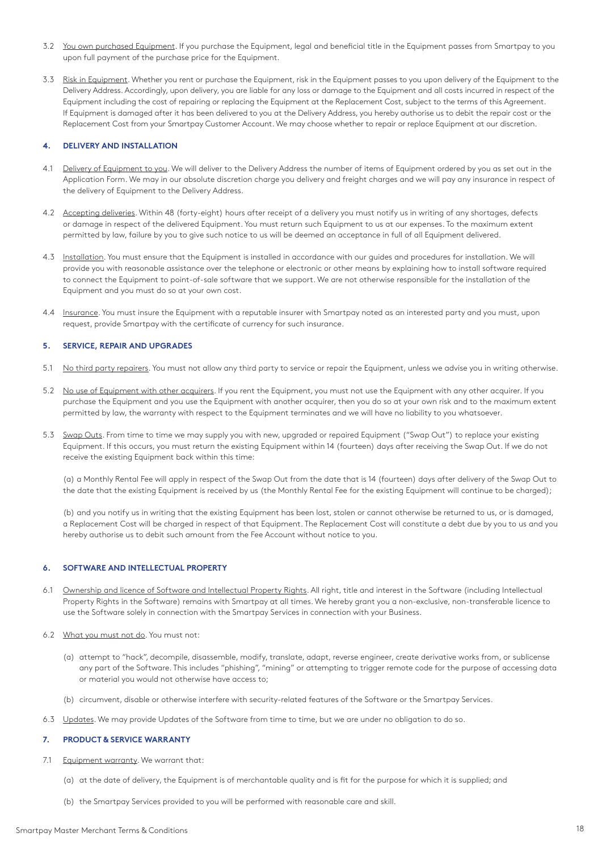- 3.2 You own purchased Equipment. If you purchase the Equipment, legal and beneficial title in the Equipment passes from Smartpay to you upon full payment of the purchase price for the Equipment.
- 3.3 Risk in Equipment. Whether you rent or purchase the Equipment, risk in the Equipment passes to you upon delivery of the Equipment to the Delivery Address. Accordingly, upon delivery, you are liable for any loss or damage to the Equipment and all costs incurred in respect of the Equipment including the cost of repairing or replacing the Equipment at the Replacement Cost, subject to the terms of this Agreement. If Equipment is damaged after it has been delivered to you at the Delivery Address, you hereby authorise us to debit the repair cost or the Replacement Cost from your Smartpay Customer Account. We may choose whether to repair or replace Equipment at our discretion.

#### **4. DELIVERY AND INSTALLATION**

- 4.1 Delivery of Equipment to you. We will deliver to the Delivery Address the number of items of Equipment ordered by you as set out in the Application Form. We may in our absolute discretion charge you delivery and freight charges and we will pay any insurance in respect of the delivery of Equipment to the Delivery Address.
- 4.2 Accepting deliveries. Within 48 (forty-eight) hours after receipt of a delivery you must notify us in writing of any shortages, defects or damage in respect of the delivered Equipment. You must return such Equipment to us at our expenses. To the maximum extent permitted by law, failure by you to give such notice to us will be deemed an acceptance in full of all Equipment delivered.
- 4.3 Installation. You must ensure that the Equipment is installed in accordance with our guides and procedures for installation. We will provide you with reasonable assistance over the telephone or electronic or other means by explaining how to install software required to connect the Equipment to point-of-sale software that we support. We are not otherwise responsible for the installation of the Equipment and you must do so at your own cost.
- 4.4 Insurance. You must insure the Equipment with a reputable insurer with Smartpay noted as an interested party and you must, upon request, provide Smartpay with the certificate of currency for such insurance.

#### **5. SERVICE, REPAIR AND UPGRADES**

- 5.1 No third party repairers. You must not allow any third party to service or repair the Equipment, unless we advise you in writing otherwise.
- 5.2 No use of Equipment with other acquirers. If you rent the Equipment, you must not use the Equipment with any other acquirer. If you purchase the Equipment and you use the Equipment with another acquirer, then you do so at your own risk and to the maximum extent permitted by law, the warranty with respect to the Equipment terminates and we will have no liability to you whatsoever.
- 5.3 Swap Outs. From time to time we may supply you with new, upgraded or repaired Equipment ("Swap Out") to replace your existing Equipment. If this occurs, you must return the existing Equipment within 14 (fourteen) days after receiving the Swap Out. If we do not receive the existing Equipment back within this time:

(a) a Monthly Rental Fee will apply in respect of the Swap Out from the date that is 14 (fourteen) days after delivery of the Swap Out to the date that the existing Equipment is received by us (the Monthly Rental Fee for the existing Equipment will continue to be charged);

(b) and you notify us in writing that the existing Equipment has been lost, stolen or cannot otherwise be returned to us, or is damaged, a Replacement Cost will be charged in respect of that Equipment. The Replacement Cost will constitute a debt due by you to us and you hereby authorise us to debit such amount from the Fee Account without notice to you.

### **6. SOFTWARE AND INTELLECTUAL PROPERTY**

- 6.1 Ownership and licence of Software and Intellectual Property Rights. All right, title and interest in the Software (including Intellectual Property Rights in the Software) remains with Smartpay at all times. We hereby grant you a non-exclusive, non-transferable licence to use the Software solely in connection with the Smartpay Services in connection with your Business.
- 6.2 What you must not do. You must not:
	- (a) attempt to "hack", decompile, disassemble, modify, translate, adapt, reverse engineer, create derivative works from, or sublicense any part of the Software. This includes "phishing", "mining" or attempting to trigger remote code for the purpose of accessing data or material you would not otherwise have access to;
	- (b) circumvent, disable or otherwise interfere with security-related features of the Software or the Smartpay Services.
- 6.3 Updates. We may provide Updates of the Software from time to time, but we are under no obligation to do so.

#### **7. PRODUCT & SERVICE WARRANTY**

- 7.1 Equipment warranty. We warrant that:
	- (a) at the date of delivery, the Equipment is of merchantable quality and is fit for the purpose for which it is supplied; and
	- (b) the Smartpay Services provided to you will be performed with reasonable care and skill.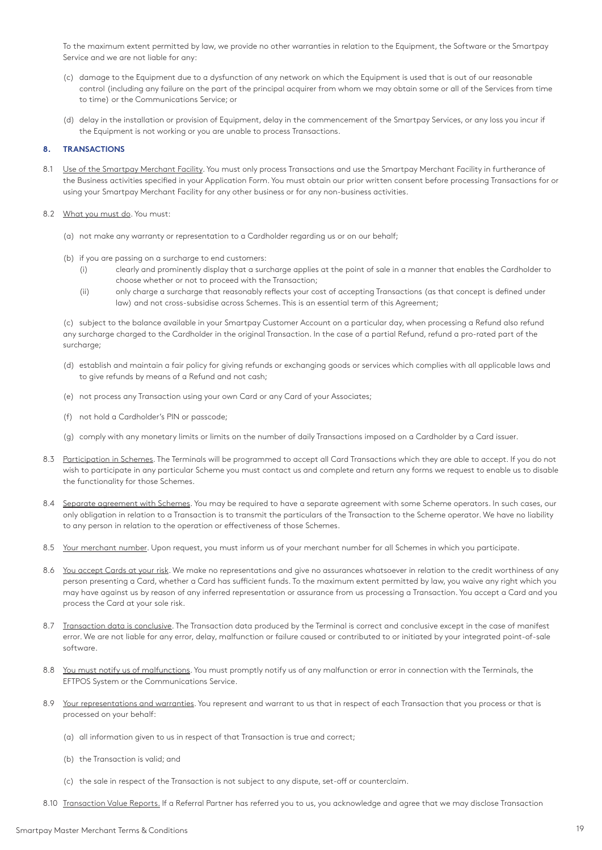To the maximum extent permitted by law, we provide no other warranties in relation to the Equipment, the Software or the Smartpay Service and we are not liable for any:

- (c) damage to the Equipment due to a dysfunction of any network on which the Equipment is used that is out of our reasonable control (including any failure on the part of the principal acquirer from whom we may obtain some or all of the Services from time to time) or the Communications Service; or
- (d) delay in the installation or provision of Equipment, delay in the commencement of the Smartpay Services, or any loss you incur if the Equipment is not working or you are unable to process Transactions.

# **8. TRANSACTIONS**

8.1 Use of the Smartpay Merchant Facility. You must only process Transactions and use the Smartpay Merchant Facility in furtherance of the Business activities specified in your Application Form. You must obtain our prior written consent before processing Transactions for or using your Smartpay Merchant Facility for any other business or for any non-business activities.

8.2 What you must do. You must:

- (a) not make any warranty or representation to a Cardholder regarding us or on our behalf;
- (b) if you are passing on a surcharge to end customers:
	- (i) clearly and prominently display that a surcharge applies at the point of sale in a manner that enables the Cardholder to choose whether or not to proceed with the Transaction;
	- (ii) only charge a surcharge that reasonably reflects your cost of accepting Transactions (as that concept is defined under law) and not cross-subsidise across Schemes. This is an essential term of this Agreement;

(c) subject to the balance available in your Smartpay Customer Account on a particular day, when processing a Refund also refund any surcharge charged to the Cardholder in the original Transaction. In the case of a partial Refund, refund a pro-rated part of the surcharge;

- (d) establish and maintain a fair policy for giving refunds or exchanging goods or services which complies with all applicable laws and to give refunds by means of a Refund and not cash;
- (e) not process any Transaction using your own Card or any Card of your Associates;
- (f) not hold a Cardholder's PIN or passcode;
- (g) comply with any monetary limits or limits on the number of daily Transactions imposed on a Cardholder by a Card issuer.
- 8.3 Participation in Schemes. The Terminals will be programmed to accept all Card Transactions which they are able to accept. If you do not wish to participate in any particular Scheme you must contact us and complete and return any forms we request to enable us to disable the functionality for those Schemes.
- 8.4 Separate agreement with Schemes. You may be required to have a separate agreement with some Scheme operators. In such cases, our only obligation in relation to a Transaction is to transmit the particulars of the Transaction to the Scheme operator. We have no liability to any person in relation to the operation or effectiveness of those Schemes.
- 8.5 Your merchant number. Upon request, you must inform us of your merchant number for all Schemes in which you participate.
- 8.6 You accept Cards at your risk. We make no representations and give no assurances whatsoever in relation to the credit worthiness of any person presenting a Card, whether a Card has sufficient funds. To the maximum extent permitted by law, you waive any right which you may have against us by reason of any inferred representation or assurance from us processing a Transaction. You accept a Card and you process the Card at your sole risk.
- 8.7 Transaction data is conclusive. The Transaction data produced by the Terminal is correct and conclusive except in the case of manifest error. We are not liable for any error, delay, malfunction or failure caused or contributed to or initiated by your integrated point-of-sale software.
- 8.8 You must notify us of malfunctions. You must promptly notify us of any malfunction or error in connection with the Terminals, the EFTPOS System or the Communications Service.
- 8.9 Your representations and warranties. You represent and warrant to us that in respect of each Transaction that you process or that is processed on your behalf:
	- (a) all information given to us in respect of that Transaction is true and correct;
	- (b) the Transaction is valid; and
	- (c) the sale in respect of the Transaction is not subject to any dispute, set-off or counterclaim.
- 8.10 Transaction Value Reports. If a Referral Partner has referred you to us, you acknowledge and agree that we may disclose Transaction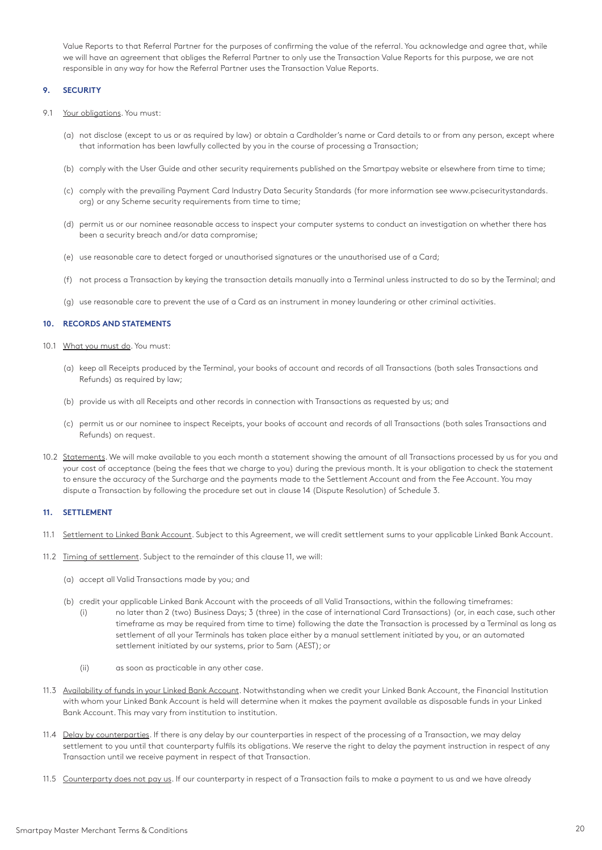Value Reports to that Referral Partner for the purposes of confirming the value of the referral. You acknowledge and agree that, while we will have an agreement that obliges the Referral Partner to only use the Transaction Value Reports for this purpose, we are not responsible in any way for how the Referral Partner uses the Transaction Value Reports.

#### **9. SECURITY**

- 9.1 Your obligations. You must:
	- (a) not disclose (except to us or as required by law) or obtain a Cardholder's name or Card details to or from any person, except where that information has been lawfully collected by you in the course of processing a Transaction;
	- (b) comply with the User Guide and other security requirements published on the Smartpay website or elsewhere from time to time;
	- (c) comply with the prevailing Payment Card Industry Data Security Standards (for more information see www.pcisecuritystandards. org) or any Scheme security requirements from time to time;
	- (d) permit us or our nominee reasonable access to inspect your computer systems to conduct an investigation on whether there has been a security breach and/or data compromise;
	- (e) use reasonable care to detect forged or unauthorised signatures or the unauthorised use of a Card;
	- (f) not process a Transaction by keying the transaction details manually into a Terminal unless instructed to do so by the Terminal; and
	- (g) use reasonable care to prevent the use of a Card as an instrument in money laundering or other criminal activities.

#### **10. RECORDS AND STATEMENTS**

- 10.1 What you must do. You must:
	- (a) keep all Receipts produced by the Terminal, your books of account and records of all Transactions (both sales Transactions and Refunds) as required by law;
	- (b) provide us with all Receipts and other records in connection with Transactions as requested by us; and
	- (c) permit us or our nominee to inspect Receipts, your books of account and records of all Transactions (both sales Transactions and Refunds) on request.
- 10.2 Statements. We will make available to you each month a statement showing the amount of all Transactions processed by us for you and your cost of acceptance (being the fees that we charge to you) during the previous month. It is your obligation to check the statement to ensure the accuracy of the Surcharge and the payments made to the Settlement Account and from the Fee Account. You may dispute a Transaction by following the procedure set out in clause 14 (Dispute Resolution) of Schedule 3.

#### **11. SETTLEMENT**

- 11.1 Settlement to Linked Bank Account. Subject to this Agreement, we will credit settlement sums to your applicable Linked Bank Account.
- 11.2 Timing of settlement. Subject to the remainder of this clause 11, we will:
	- (a) accept all Valid Transactions made by you; and
	- (b) credit your applicable Linked Bank Account with the proceeds of all Valid Transactions, within the following timeframes:
		- (i) no later than 2 (two) Business Days; 3 (three) in the case of international Card Transactions) (or, in each case, such other timeframe as may be required from time to time) following the date the Transaction is processed by a Terminal as long as settlement of all your Terminals has taken place either by a manual settlement initiated by you, or an automated settlement initiated by our systems, prior to 5am (AEST); or
		- (ii) as soon as practicable in any other case.
- 11.3 Availability of funds in your Linked Bank Account. Notwithstanding when we credit your Linked Bank Account, the Financial Institution with whom your Linked Bank Account is held will determine when it makes the payment available as disposable funds in your Linked Bank Account. This may vary from institution to institution.
- 11.4 Delay by counterparties. If there is any delay by our counterparties in respect of the processing of a Transaction, we may delay settlement to you until that counterparty fulfils its obligations. We reserve the right to delay the payment instruction in respect of any Transaction until we receive payment in respect of that Transaction.
- 11.5 Counterparty does not pay us. If our counterparty in respect of a Transaction fails to make a payment to us and we have already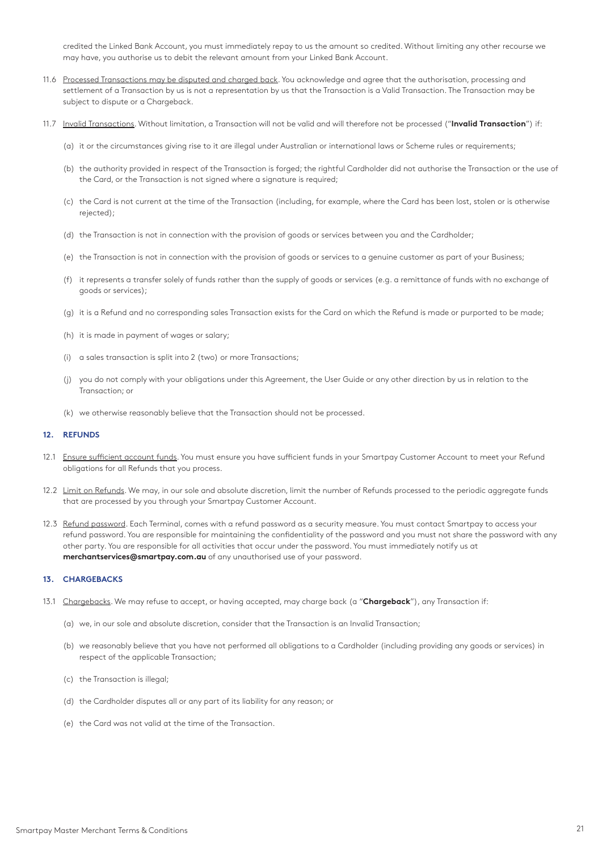credited the Linked Bank Account, you must immediately repay to us the amount so credited. Without limiting any other recourse we may have, you authorise us to debit the relevant amount from your Linked Bank Account.

- 11.6 Processed Transactions may be disputed and charged back. You acknowledge and agree that the authorisation, processing and settlement of a Transaction by us is not a representation by us that the Transaction is a Valid Transaction. The Transaction may be subject to dispute or a Chargeback.
- 11.7 Invalid Transactions. Without limitation, a Transaction will not be valid and will therefore not be processed ("**Invalid Transaction**") if:
	- (a) it or the circumstances giving rise to it are illegal under Australian or international laws or Scheme rules or requirements;
	- (b) the authority provided in respect of the Transaction is forged; the rightful Cardholder did not authorise the Transaction or the use of the Card, or the Transaction is not signed where a signature is required;
	- (c) the Card is not current at the time of the Transaction (including, for example, where the Card has been lost, stolen or is otherwise rejected);
	- (d) the Transaction is not in connection with the provision of goods or services between you and the Cardholder;
	- (e) the Transaction is not in connection with the provision of goods or services to a genuine customer as part of your Business;
	- (f) it represents a transfer solely of funds rather than the supply of goods or services (e.g. a remittance of funds with no exchange of goods or services);
	- (g) it is a Refund and no corresponding sales Transaction exists for the Card on which the Refund is made or purported to be made;
	- (h) it is made in payment of wages or salary;
	- (i) a sales transaction is split into 2 (two) or more Transactions;
	- (j) you do not comply with your obligations under this Agreement, the User Guide or any other direction by us in relation to the Transaction; or
	- (k) we otherwise reasonably believe that the Transaction should not be processed.

#### **12. REFUNDS**

- 12.1 Ensure sufficient account funds. You must ensure you have sufficient funds in your Smartpay Customer Account to meet your Refund obligations for all Refunds that you process.
- 12.2 Limit on Refunds. We may, in our sole and absolute discretion, limit the number of Refunds processed to the periodic aggregate funds that are processed by you through your Smartpay Customer Account.
- 12.3 Refund password. Each Terminal, comes with a refund password as a security measure. You must contact Smartpay to access your refund password. You are responsible for maintaining the confidentiality of the password and you must not share the password with any other party. You are responsible for all activities that occur under the password. You must immediately notify us at **merchantservices@smartpay.com.au** of any unauthorised use of your password.

### **13. CHARGEBACKS**

- 13.1 Chargebacks. We may refuse to accept, or having accepted, may charge back (a "**Chargeback**"), any Transaction if:
	- (a) we, in our sole and absolute discretion, consider that the Transaction is an Invalid Transaction;
	- (b) we reasonably believe that you have not performed all obligations to a Cardholder (including providing any goods or services) in respect of the applicable Transaction;
	- (c) the Transaction is illegal;
	- (d) the Cardholder disputes all or any part of its liability for any reason; or
	- (e) the Card was not valid at the time of the Transaction.